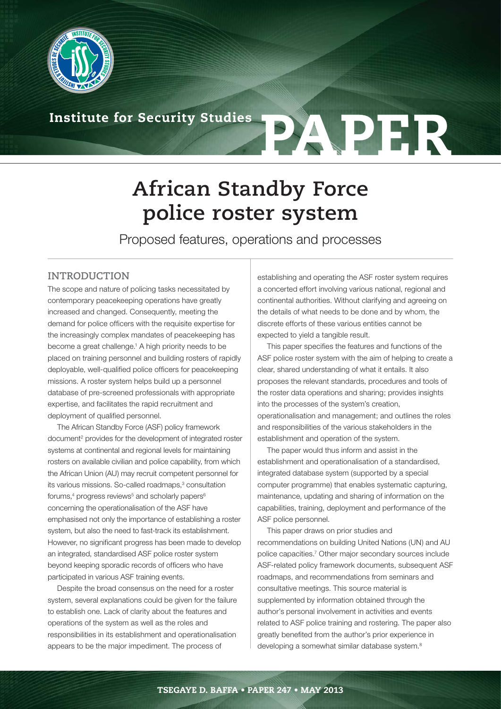

# **Institute for Security Studies PAPER**

# **African Standby Force police roster system**

Proposed features, operations and processes

#### **INTRODUCTION**

The scope and nature of policing tasks necessitated by contemporary peacekeeping operations have greatly increased and changed. Consequently, meeting the demand for police officers with the requisite expertise for the increasingly complex mandates of peacekeeping has become a great challenge.<sup>1</sup> A high priority needs to be placed on training personnel and building rosters of rapidly deployable, well-qualified police officers for peacekeeping missions. A roster system helps build up a personnel database of pre-screened professionals with appropriate expertise, and facilitates the rapid recruitment and deployment of qualified personnel.

The African Standby Force (ASF) policy framework document<sup>2</sup> provides for the development of integrated roster systems at continental and regional levels for maintaining rosters on available civilian and police capability, from which the African Union (AU) may recruit competent personnel for its various missions. So-called roadmaps,<sup>3</sup> consultation forums,<sup>4</sup> progress reviews<sup>5</sup> and scholarly papers<sup>6</sup> concerning the operationalisation of the ASF have emphasised not only the importance of establishing a roster system, but also the need to fast-track its establishment. However, no significant progress has been made to develop an integrated, standardised ASF police roster system beyond keeping sporadic records of officers who have participated in various ASF training events.

Despite the broad consensus on the need for a roster system, several explanations could be given for the failure to establish one. Lack of clarity about the features and operations of the system as well as the roles and responsibilities in its establishment and operationalisation appears to be the major impediment. The process of

establishing and operating the ASF roster system requires a concerted effort involving various national, regional and continental authorities. Without clarifying and agreeing on the details of what needs to be done and by whom, the discrete efforts of these various entities cannot be expected to yield a tangible result.

This paper specifies the features and functions of the ASF police roster system with the aim of helping to create a clear, shared understanding of what it entails. It also proposes the relevant standards, procedures and tools of the roster data operations and sharing; provides insights into the processes of the system's creation, operationalisation and management; and outlines the roles and responsibilities of the various stakeholders in the establishment and operation of the system.

The paper would thus inform and assist in the establishment and operationalisation of a standardised, integrated database system (supported by a special computer programme) that enables systematic capturing, maintenance, updating and sharing of information on the capabilities, training, deployment and performance of the ASF police personnel.

This paper draws on prior studies and recommendations on building United Nations (UN) and AU police capacities.7 Other major secondary sources include ASF-related policy framework documents, subsequent ASF roadmaps, and recommendations from seminars and consultative meetings. This source material is supplemented by information obtained through the author's personal involvement in activities and events related to ASF police training and rostering. The paper also greatly benefited from the author's prior experience in developing a somewhat similar database system.<sup>8</sup>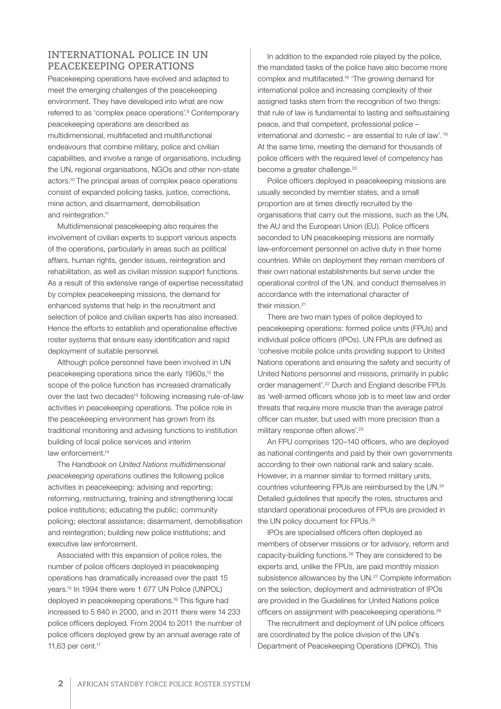#### **INTERNATIONAL POLICE IN UN PEACEKEEPING OPERATIONS**

Peacekeeping operations have evolved and adapted to meet the emerging challenges of the peacekeeping environment. They have developed into what are now referred to as 'complex peace operations'.9 Contemporary peacekeeping operations are described as multidimensional, multifaceted and multifunctional endeavours that combine military, police and civilian capabilities, and involve a range of organisations, including the UN, regional organisations, NGOs and other non-state actors.10 The principal areas of complex peace operations consist of expanded policing tasks, justice, corrections, mine action, and disarmament, demobilisation and reintegration.<sup>11</sup>

Multidimensional peacekeeping also requires the involvement of civilian experts to support various aspects of the operations, particularly in areas such as political affairs, human rights, gender issues, reintegration and rehabilitation, as well as civilian mission support functions. As a result of this extensive range of expertise necessitated by complex peacekeeping missions, the demand for enhanced systems that help in the recruitment and selection of police and civilian experts has also increased. Hence the efforts to establish and operationalise effective roster systems that ensure easy identification and rapid deployment of suitable personnel.

Although police personnel have been involved in UN peacekeeping operations since the early 1960s,<sup>12</sup> the scope of the police function has increased dramatically over the last two decades<sup>13</sup> following increasing rule-of-law activities in peacekeeping operations. The police role in the peacekeeping environment has grown from its traditional monitoring and advising functions to institution building of local police services and interim law enforcement.<sup>14</sup>

The *Handbook on United Nations multidimensional peacekeeping operations* outlines the following police activities in peacekeeping: advising and reporting; reforming, restructuring, training and strengthening local police institutions; educating the public; community policing; electoral assistance; disarmament, demobilisation and reintegration; building new police institutions; and executive law enforcement.

Associated with this expansion of police roles, the number of police officers deployed in peacekeeping operations has dramatically increased over the past 15 years.15 In 1994 there were 1 677 UN Police (UNPOL) deployed in peacekeeping operations.16 This figure had increased to 5 840 in 2000, and in 2011 there were 14 233 police officers deployed. From 2004 to 2011 the number of police officers deployed grew by an annual average rate of 11,63 per cent.17

In addition to the expanded role played by the police, the mandated tasks of the police have also become more complex and multifaceted.18 'The growing demand for international police and increasing complexity of their assigned tasks stem from the recognition of two things: that rule of law is fundamental to lasting and selfsustaining peace, and that competent, professional police – international and domestic – are essential to rule of law'. 19 At the same time, meeting the demand for thousands of police officers with the required level of competency has become a greater challenge.<sup>20</sup>

Police officers deployed in peacekeeping missions are usually seconded by member states, and a small proportion are at times directly recruited by the organisations that carry out the missions, such as the UN, the AU and the European Union (EU). Police officers seconded to UN peacekeeping missions are normally law-enforcement personnel on active duty in their home countries. While on deployment they remain members of their own national establishments but serve under the operational control of the UN, and conduct themselves in accordance with the international character of their mission.<sup>21</sup>

There are two main types of police deployed to peacekeeping operations: formed police units (FPUs) and individual police officers (IPOs). UN FPUs are defined as 'cohesive mobile police units providing support to United Nations operations and ensuring the safety and security of United Nations personnel and missions, primarily in public order management'.22 Durch and England describe FPUs as 'well-armed officers whose job is to meet law and order threats that require more muscle than the average patrol officer can muster, but used with more precision than a military response often allows'.<sup>23</sup>

An FPU comprises 120–140 officers, who are deployed as national contingents and paid by their own governments according to their own national rank and salary scale. However, in a manner similar to formed military units, countries volunteering FPUs are reimbursed by the UN.24 Detailed guidelines that specify the roles, structures and standard operational procedures of FPUs are provided in the UN policy document for FPUs.<sup>25</sup>

IPOs are specialised officers often deployed as members of observer missions or for advisory, reform and capacity-building functions.26 They are considered to be experts and, unlike the FPUs, are paid monthly mission subsistence allowances by the UN.<sup>27</sup> Complete information on the selection, deployment and administration of IPOs are provided in the Guidelines for United Nations police officers on assignment with peacekeeping operations.28

The recruitment and deployment of UN police officers are coordinated by the police division of the UN's Department of Peacekeeping Operations (DPKO). This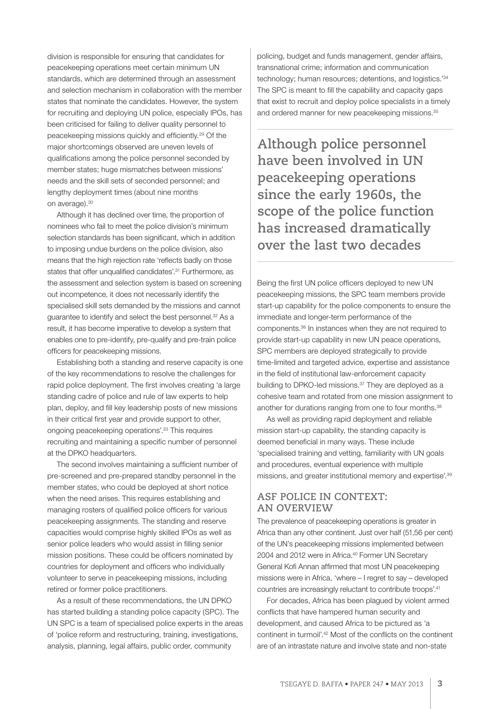division is responsible for ensuring that candidates for peacekeeping operations meet certain minimum UN standards, which are determined through an assessment and selection mechanism in collaboration with the member states that nominate the candidates. However, the system for recruiting and deploying UN police, especially IPOs, has been criticised for failing to deliver quality personnel to peacekeeping missions quickly and efficiently.29 Of the major shortcomings observed are uneven levels of qualifications among the police personnel seconded by member states; huge mismatches between missions' needs and the skill sets of seconded personnel; and lengthy deployment times (about nine months on average).30

Although it has declined over time, the proportion of nominees who fail to meet the police division's minimum selection standards has been significant, which in addition to imposing undue burdens on the police division, also means that the high rejection rate 'reflects badly on those states that offer unqualified candidates'.<sup>31</sup> Furthermore, as the assessment and selection system is based on screening out incompetence, it does not necessarily identify the specialised skill sets demanded by the missions and cannot guarantee to identify and select the best personnel.<sup>32</sup> As a result, it has become imperative to develop a system that enables one to pre-identify, pre-qualify and pre-train police officers for peacekeeping missions.

Establishing both a standing and reserve capacity is one of the key recommendations to resolve the challenges for rapid police deployment. The first involves creating 'a large standing cadre of police and rule of law experts to help plan, deploy, and fill key leadership posts of new missions in their critical first year and provide support to other, ongoing peacekeeping operations'.33 This requires recruiting and maintaining a specific number of personnel at the DPKO headquarters.

The second involves maintaining a sufficient number of pre-screened and pre-prepared standby personnel in the member states, who could be deployed at short notice when the need arises. This requires establishing and managing rosters of qualified police officers for various peacekeeping assignments. The standing and reserve capacities would comprise highly skilled IPOs as well as senior police leaders who would assist in filling senior mission positions. These could be officers nominated by countries for deployment and officers who individually volunteer to serve in peacekeeping missions, including retired or former police practitioners.

As a result of these recommendations, the UN DPKO has started building a standing police capacity (SPC). The UN SPC is a team of specialised police experts in the areas of 'police reform and restructuring, training, investigations, analysis, planning, legal affairs, public order, community

policing, budget and funds management, gender affairs, transnational crime; information and communication technology; human resources; detentions, and logistics.'34 The SPC is meant to fill the capability and capacity gaps that exist to recruit and deploy police specialists in a timely and ordered manner for new peacekeeping missions.35

**Although police personnel have been involved in UN peacekeeping operations since the early 1960s, the scope of the police function has increased dramatically over the last two decades**

Being the first UN police officers deployed to new UN peacekeeping missions, the SPC team members provide start-up capability for the police components to ensure the immediate and longer-term performance of the components.36 In instances when they are not required to provide start-up capability in new UN peace operations, SPC members are deployed strategically to provide time-limited and targeted advice, expertise and assistance in the field of institutional law-enforcement capacity building to DPKO-led missions.<sup>37</sup> They are deployed as a cohesive team and rotated from one mission assignment to another for durations ranging from one to four months.<sup>38</sup>

As well as providing rapid deployment and reliable mission start-up capability, the standing capacity is deemed beneficial in many ways. These include 'specialised training and vetting, familiarity with UN goals and procedures, eventual experience with multiple missions, and greater institutional memory and expertise'.39

#### **ASF POLICE IN CONTEXT: AN OVERVIEW**

The prevalence of peacekeeping operations is greater in Africa than any other continent. Just over half (51,56 per cent) of the UN's peacekeeping missions implemented between 2004 and 2012 were in Africa.<sup>40</sup> Former UN Secretary General Kofi Annan affirmed that most UN peacekeeping missions were in Africa, 'where – I regret to say – developed countries are increasingly reluctant to contribute troops'.41

For decades, Africa has been plagued by violent armed conflicts that have hampered human security and development, and caused Africa to be pictured as 'a continent in turmoil'.42 Most of the conflicts on the continent are of an intrastate nature and involve state and non-state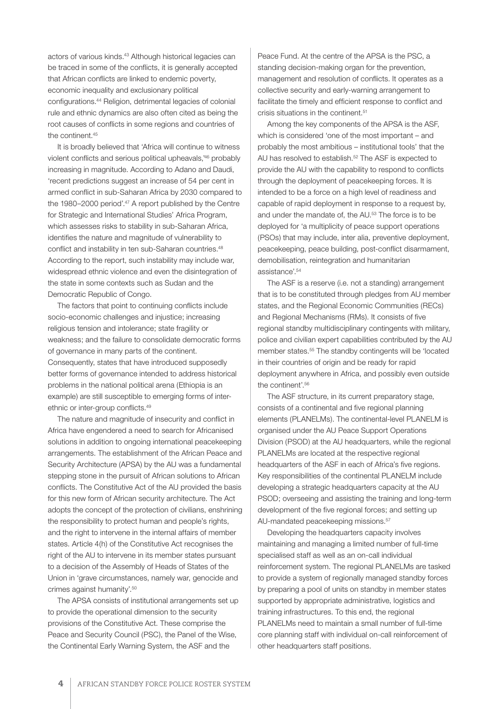actors of various kinds.<sup>43</sup> Although historical legacies can be traced in some of the conflicts, it is generally accepted that African conflicts are linked to endemic poverty, economic inequality and exclusionary political configurations.44 Religion, detrimental legacies of colonial rule and ethnic dynamics are also often cited as being the root causes of conflicts in some regions and countries of the continent  $45$ 

It is broadly believed that 'Africa will continue to witness violent conflicts and serious political upheavals,'46 probably increasing in magnitude. According to Adano and Daudi, 'recent predictions suggest an increase of 54 per cent in armed conflict in sub-Saharan Africa by 2030 compared to the 1980–2000 period'.<sup>47</sup> A report published by the Centre for Strategic and International Studies' Africa Program, which assesses risks to stability in sub-Saharan Africa, identifies the nature and magnitude of vulnerability to conflict and instability in ten sub-Saharan countries.<sup>48</sup> According to the report, such instability may include war, widespread ethnic violence and even the disintegration of the state in some contexts such as Sudan and the Democratic Republic of Congo.

The factors that point to continuing conflicts include socio-economic challenges and injustice; increasing religious tension and intolerance; state fragility or weakness; and the failure to consolidate democratic forms of governance in many parts of the continent. Consequently, states that have introduced supposedly better forms of governance intended to address historical problems in the national political arena (Ethiopia is an example) are still susceptible to emerging forms of interethnic or inter-group conflicts.49

The nature and magnitude of insecurity and conflict in Africa have engendered a need to search for Africanised solutions in addition to ongoing international peacekeeping arrangements. The establishment of the African Peace and Security Architecture (APSA) by the AU was a fundamental stepping stone in the pursuit of African solutions to African conflicts. The Constitutive Act of the AU provided the basis for this new form of African security architecture. The Act adopts the concept of the protection of civilians, enshrining the responsibility to protect human and people's rights, and the right to intervene in the internal affairs of member states. Article 4(h) of the Constitutive Act recognises the right of the AU to intervene in its member states pursuant to a decision of the Assembly of Heads of States of the Union in 'grave circumstances, namely war, genocide and crimes against humanity'.50

The APSA consists of institutional arrangements set up to provide the operational dimension to the security provisions of the Constitutive Act. These comprise the Peace and Security Council (PSC), the Panel of the Wise, the Continental Early Warning System, the ASF and the

Peace Fund. At the centre of the APSA is the PSC, a standing decision-making organ for the prevention, management and resolution of conflicts. It operates as a collective security and early-warning arrangement to facilitate the timely and efficient response to conflict and crisis situations in the continent.51

Among the key components of the APSA is the ASF, which is considered 'one of the most important – and probably the most ambitious – institutional tools' that the AU has resolved to establish.<sup>52</sup> The ASF is expected to provide the AU with the capability to respond to conflicts through the deployment of peacekeeping forces. It is intended to be a force on a high level of readiness and capable of rapid deployment in response to a request by, and under the mandate of, the AU.53 The force is to be deployed for 'a multiplicity of peace support operations (PSOs) that may include, inter alia, preventive deployment, peacekeeping, peace building, post-conflict disarmament, demobilisation, reintegration and humanitarian assistance'.54

The ASF is a reserve (i.e. not a standing) arrangement that is to be constituted through pledges from AU member states, and the Regional Economic Communities (RECs) and Regional Mechanisms (RMs). It consists of five regional standby multidisciplinary contingents with military, police and civilian expert capabilities contributed by the AU member states.55 The standby contingents will be 'located in their countries of origin and be ready for rapid deployment anywhere in Africa, and possibly even outside the continent'.56

The ASF structure, in its current preparatory stage, consists of a continental and five regional planning elements (PLANELMs). The continental-level PLANELM is organised under the AU Peace Support Operations Division (PSOD) at the AU headquarters, while the regional PLANELMs are located at the respective regional headquarters of the ASF in each of Africa's five regions. Key responsibilities of the continental PLANELM include developing a strategic headquarters capacity at the AU PSOD; overseeing and assisting the training and long-term development of the five regional forces; and setting up AU-mandated peacekeeping missions.<sup>57</sup>

Developing the headquarters capacity involves maintaining and managing a limited number of full-time specialised staff as well as an on-call individual reinforcement system. The regional PLANELMs are tasked to provide a system of regionally managed standby forces by preparing a pool of units on standby in member states supported by appropriate administrative, logistics and training infrastructures. To this end, the regional PLANELMs need to maintain a small number of full-time core planning staff with individual on-call reinforcement of other headquarters staff positions.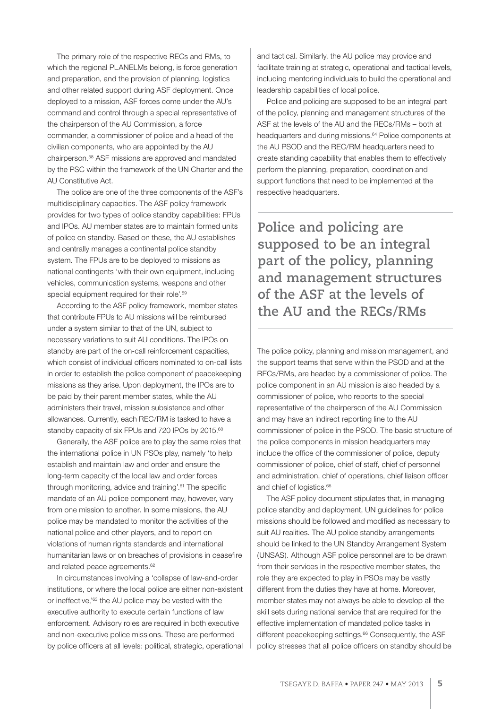The primary role of the respective RECs and RMs, to which the regional PLANELMs belong, is force generation and preparation, and the provision of planning, logistics and other related support during ASF deployment. Once deployed to a mission, ASF forces come under the AU's command and control through a special representative of the chairperson of the AU Commission, a force commander, a commissioner of police and a head of the civilian components, who are appointed by the AU chairperson.58 ASF missions are approved and mandated by the PSC within the framework of the UN Charter and the AU Constitutive Act.

The police are one of the three components of the ASF's multidisciplinary capacities. The ASF policy framework provides for two types of police standby capabilities: FPUs and IPOs. AU member states are to maintain formed units of police on standby. Based on these, the AU establishes and centrally manages a continental police standby system. The FPUs are to be deployed to missions as national contingents 'with their own equipment, including vehicles, communication systems, weapons and other special equipment required for their role'.<sup>59</sup>

According to the ASF policy framework, member states that contribute FPUs to AU missions will be reimbursed under a system similar to that of the UN, subject to necessary variations to suit AU conditions. The IPOs on standby are part of the on-call reinforcement capacities, which consist of individual officers nominated to on-call lists in order to establish the police component of peacekeeping missions as they arise. Upon deployment, the IPOs are to be paid by their parent member states, while the AU administers their travel, mission subsistence and other allowances. Currently, each REC/RM is tasked to have a standby capacity of six FPUs and 720 IPOs by 2015.<sup>60</sup>

Generally, the ASF police are to play the same roles that the international police in UN PSOs play, namely 'to help establish and maintain law and order and ensure the long-term capacity of the local law and order forces through monitoring, advice and training'.61 The specific mandate of an AU police component may, however, vary from one mission to another. In some missions, the AU police may be mandated to monitor the activities of the national police and other players, and to report on violations of human rights standards and international humanitarian laws or on breaches of provisions in ceasefire and related peace agreements.<sup>62</sup>

In circumstances involving a 'collapse of law-and-order institutions, or where the local police are either non-existent or ineffective,'63 the AU police may be vested with the executive authority to execute certain functions of law enforcement. Advisory roles are required in both executive and non-executive police missions. These are performed by police officers at all levels: political, strategic, operational and tactical. Similarly, the AU police may provide and facilitate training at strategic, operational and tactical levels, including mentoring individuals to build the operational and leadership capabilities of local police.

Police and policing are supposed to be an integral part of the policy, planning and management structures of the ASF at the levels of the AU and the RECs/RMs – both at headquarters and during missions.<sup>64</sup> Police components at the AU PSOD and the REC/RM headquarters need to create standing capability that enables them to effectively perform the planning, preparation, coordination and support functions that need to be implemented at the respective headquarters.

**Police and policing are supposed to be an integral part of the policy, planning and management structures of the ASF at the levels of the AU and the RECs/RMs** 

The police policy, planning and mission management, and the support teams that serve within the PSOD and at the RECs/RMs, are headed by a commissioner of police. The police component in an AU mission is also headed by a commissioner of police, who reports to the special representative of the chairperson of the AU Commission and may have an indirect reporting line to the AU commissioner of police in the PSOD. The basic structure of the police components in mission headquarters may include the office of the commissioner of police, deputy commissioner of police, chief of staff, chief of personnel and administration, chief of operations, chief liaison officer and chief of logistics.<sup>65</sup>

The ASF policy document stipulates that, in managing police standby and deployment, UN guidelines for police missions should be followed and modified as necessary to suit AU realities. The AU police standby arrangements should be linked to the UN Standby Arrangement System (UNSAS). Although ASF police personnel are to be drawn from their services in the respective member states, the role they are expected to play in PSOs may be vastly different from the duties they have at home. Moreover, member states may not always be able to develop all the skill sets during national service that are required for the effective implementation of mandated police tasks in different peacekeeping settings.<sup>66</sup> Consequently, the ASF policy stresses that all police officers on standby should be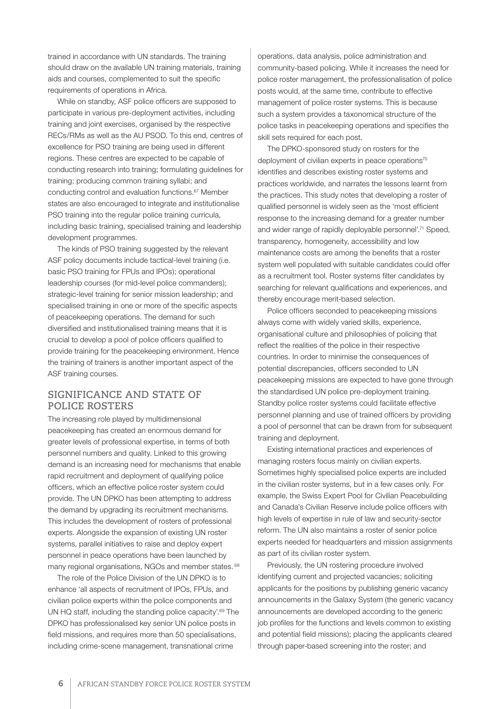trained in accordance with UN standards. The training should draw on the available UN training materials, training aids and courses, complemented to suit the specific requirements of operations in Africa.

While on standby, ASF police officers are supposed to participate in various pre-deployment activities, including training and joint exercises, organised by the respective RECs/RMs as well as the AU PSOD. To this end, centres of excellence for PSO training are being used in different regions. These centres are expected to be capable of conducting research into training; formulating guidelines for training; producing common training syllabi; and conducting control and evaluation functions.67 Member states are also encouraged to integrate and institutionalise PSO training into the regular police training curricula, including basic training, specialised training and leadership development programmes.

The kinds of PSO training suggested by the relevant ASF policy documents include tactical-level training (i.e. basic PSO training for FPUs and IPOs); operational leadership courses (for mid-level police commanders); strategic-level training for senior mission leadership; and specialised training in one or more of the specific aspects of peacekeeping operations. The demand for such diversified and institutionalised training means that it is crucial to develop a pool of police officers qualified to provide training for the peacekeeping environment. Hence the training of trainers is another important aspect of the ASF training courses.

#### **SIGNIFICANCE AND STATE OF POLICE ROSTERS**

The increasing role played by multidimensional peacekeeping has created an enormous demand for greater levels of professional expertise, in terms of both personnel numbers and quality. Linked to this growing demand is an increasing need for mechanisms that enable rapid recruitment and deployment of qualifying police officers, which an effective police roster system could provide. The UN DPKO has been attempting to address the demand by upgrading its recruitment mechanisms. This includes the development of rosters of professional experts. Alongside the expansion of existing UN roster systems, parallel initiatives to raise and deploy expert personnel in peace operations have been launched by many regional organisations, NGOs and member states. 68

The role of the Police Division of the UN DPKO is to enhance 'all aspects of recruitment of IPOs, FPUs, and civilian police experts within the police components and UN HQ staff, including the standing police capacity'.<sup>69</sup> The DPKO has professionalised key senior UN police posts in field missions, and requires more than 50 specialisations, including crime-scene management, transnational crime

operations, data analysis, police administration and community-based policing. While it increases the need for police roster management, the professionalisation of police posts would, at the same time, contribute to effective management of police roster systems. This is because such a system provides a taxonomical structure of the police tasks in peacekeeping operations and specifies the skill sets required for each post.

The DPKO-sponsored study on rosters for the deployment of civilian experts in peace operations<sup>70</sup> identifies and describes existing roster systems and practices worldwide, and narrates the lessons learnt from the practices. This study notes that developing a roster of qualified personnel is widely seen as the 'most efficient response to the increasing demand for a greater number and wider range of rapidly deployable personnel'.71 Speed, transparency, homogeneity, accessibility and low maintenance costs are among the benefits that a roster system well populated with suitable candidates could offer as a recruitment tool. Roster systems filter candidates by searching for relevant qualifications and experiences, and thereby encourage merit-based selection.

Police officers seconded to peacekeeping missions always come with widely varied skills, experience, organisational culture and philosophies of policing that reflect the realities of the police in their respective countries. In order to minimise the consequences of potential discrepancies, officers seconded to UN peacekeeping missions are expected to have gone through the standardised UN police pre-deployment training. Standby police roster systems could facilitate effective personnel planning and use of trained officers by providing a pool of personnel that can be drawn from for subsequent training and deployment.

Existing international practices and experiences of managing rosters focus mainly on civilian experts. Sometimes highly specialised police experts are included in the civilian roster systems, but in a few cases only. For example, the Swiss Expert Pool for Civilian Peacebuilding and Canada's Civilian Reserve include police officers with high levels of expertise in rule of law and security-sector reform. The UN also maintains a roster of senior police experts needed for headquarters and mission assignments as part of its civilian roster system.

Previously, the UN rostering procedure involved identifying current and projected vacancies; soliciting applicants for the positions by publishing generic vacancy announcements in the Galaxy System (the generic vacancy announcements are developed according to the generic job profiles for the functions and levels common to existing and potential field missions); placing the applicants cleared through paper-based screening into the roster; and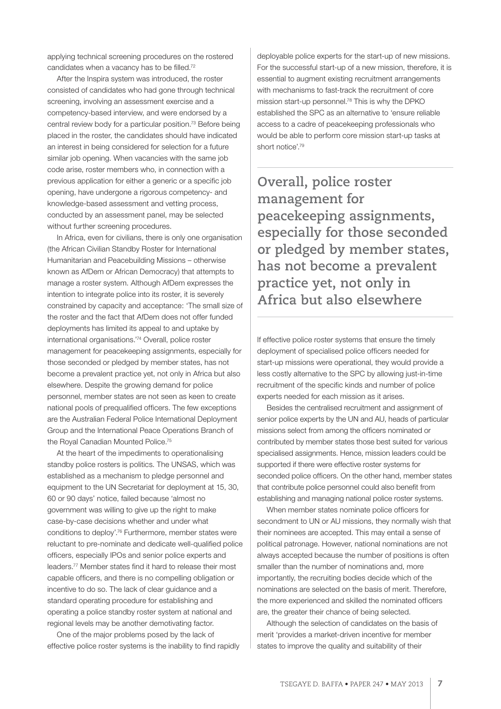applying technical screening procedures on the rostered candidates when a vacancy has to be filled.72

After the Inspira system was introduced, the roster consisted of candidates who had gone through technical screening, involving an assessment exercise and a competency-based interview, and were endorsed by a central review body for a particular position.73 Before being placed in the roster, the candidates should have indicated an interest in being considered for selection for a future similar job opening. When vacancies with the same job code arise, roster members who, in connection with a previous application for either a generic or a specific job opening, have undergone a rigorous competency- and knowledge-based assessment and vetting process, conducted by an assessment panel, may be selected without further screening procedures.

In Africa, even for civilians, there is only one organisation (the African Civilian Standby Roster for International Humanitarian and Peacebuilding Missions – otherwise known as AfDem or African Democracy) that attempts to manage a roster system. Although AfDem expresses the intention to integrate police into its roster, it is severely constrained by capacity and acceptance: 'The small size of the roster and the fact that AfDem does not offer funded deployments has limited its appeal to and uptake by international organisations.'74 Overall, police roster management for peacekeeping assignments, especially for those seconded or pledged by member states, has not become a prevalent practice yet, not only in Africa but also elsewhere. Despite the growing demand for police personnel, member states are not seen as keen to create national pools of prequalified officers. The few exceptions are the Australian Federal Police International Deployment Group and the International Peace Operations Branch of the Royal Canadian Mounted Police.<sup>75</sup>

At the heart of the impediments to operationalising standby police rosters is politics. The UNSAS, which was established as a mechanism to pledge personnel and equipment to the UN Secretariat for deployment at 15, 30, 60 or 90 days' notice, failed because 'almost no government was willing to give up the right to make case-by-case decisions whether and under what conditions to deploy'.76 Furthermore, member states were reluctant to pre-nominate and dedicate well-qualified police officers, especially IPOs and senior police experts and leaders.77 Member states find it hard to release their most capable officers, and there is no compelling obligation or incentive to do so. The lack of clear guidance and a standard operating procedure for establishing and operating a police standby roster system at national and regional levels may be another demotivating factor.

One of the major problems posed by the lack of effective police roster systems is the inability to find rapidly deployable police experts for the start-up of new missions. For the successful start-up of a new mission, therefore, it is essential to augment existing recruitment arrangements with mechanisms to fast-track the recruitment of core mission start-up personnel.78 This is why the DPKO established the SPC as an alternative to 'ensure reliable access to a cadre of peacekeeping professionals who would be able to perform core mission start-up tasks at short notice'.79

**Overall, police roster management for peacekeeping assignments, especially for those seconded or pledged by member states, has not become a prevalent practice yet, not only in Africa but also elsewhere**

If effective police roster systems that ensure the timely deployment of specialised police officers needed for start-up missions were operational, they would provide a less costly alternative to the SPC by allowing just-in-time recruitment of the specific kinds and number of police experts needed for each mission as it arises.

Besides the centralised recruitment and assignment of senior police experts by the UN and AU, heads of particular missions select from among the officers nominated or contributed by member states those best suited for various specialised assignments. Hence, mission leaders could be supported if there were effective roster systems for seconded police officers. On the other hand, member states that contribute police personnel could also benefit from establishing and managing national police roster systems.

When member states nominate police officers for secondment to UN or AU missions, they normally wish that their nominees are accepted. This may entail a sense of political patronage. However, national nominations are not always accepted because the number of positions is often smaller than the number of nominations and, more importantly, the recruiting bodies decide which of the nominations are selected on the basis of merit. Therefore, the more experienced and skilled the nominated officers are, the greater their chance of being selected.

Although the selection of candidates on the basis of merit 'provides a market-driven incentive for member states to improve the quality and suitability of their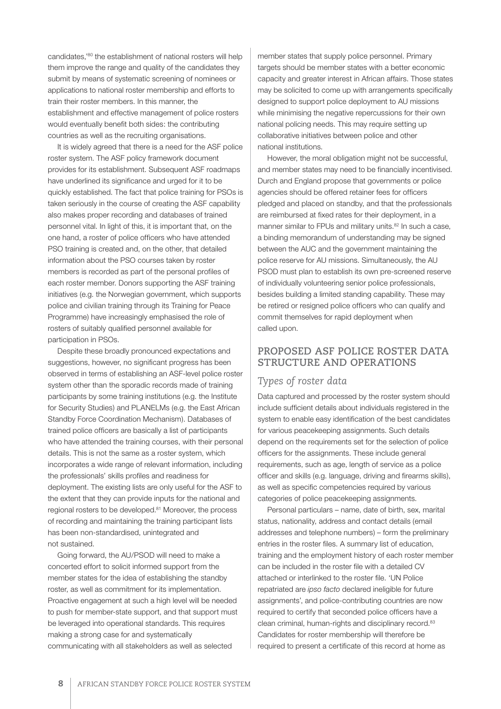candidates,'80 the establishment of national rosters will help them improve the range and quality of the candidates they submit by means of systematic screening of nominees or applications to national roster membership and efforts to train their roster members. In this manner, the establishment and effective management of police rosters would eventually benefit both sides: the contributing countries as well as the recruiting organisations.

It is widely agreed that there is a need for the ASF police roster system. The ASF policy framework document provides for its establishment. Subsequent ASF roadmaps have underlined its significance and urged for it to be quickly established. The fact that police training for PSOs is taken seriously in the course of creating the ASF capability also makes proper recording and databases of trained personnel vital. In light of this, it is important that, on the one hand, a roster of police officers who have attended PSO training is created and, on the other, that detailed information about the PSO courses taken by roster members is recorded as part of the personal profiles of each roster member. Donors supporting the ASF training initiatives (e.g. the Norwegian government, which supports police and civilian training through its Training for Peace Programme) have increasingly emphasised the role of rosters of suitably qualified personnel available for participation in PSOs.

Despite these broadly pronounced expectations and suggestions, however, no significant progress has been observed in terms of establishing an ASF-level police roster system other than the sporadic records made of training participants by some training institutions (e.g. the Institute for Security Studies) and PLANELMs (e.g. the East African Standby Force Coordination Mechanism). Databases of trained police officers are basically a list of participants who have attended the training courses, with their personal details. This is not the same as a roster system, which incorporates a wide range of relevant information, including the professionals' skills profiles and readiness for deployment. The existing lists are only useful for the ASF to the extent that they can provide inputs for the national and regional rosters to be developed.<sup>81</sup> Moreover, the process of recording and maintaining the training participant lists has been non-standardised, unintegrated and not sustained.

Going forward, the AU/PSOD will need to make a concerted effort to solicit informed support from the member states for the idea of establishing the standby roster, as well as commitment for its implementation. Proactive engagement at such a high level will be needed to push for member-state support, and that support must be leveraged into operational standards. This requires making a strong case for and systematically communicating with all stakeholders as well as selected

member states that supply police personnel. Primary targets should be member states with a better economic capacity and greater interest in African affairs. Those states may be solicited to come up with arrangements specifically designed to support police deployment to AU missions while minimising the negative repercussions for their own national policing needs. This may require setting up collaborative initiatives between police and other national institutions.

However, the moral obligation might not be successful, and member states may need to be financially incentivised. Durch and England propose that governments or police agencies should be offered retainer fees for officers pledged and placed on standby, and that the professionals are reimbursed at fixed rates for their deployment, in a manner similar to FPUs and military units.<sup>82</sup> In such a case, a binding memorandum of understanding may be signed between the AUC and the government maintaining the police reserve for AU missions. Simultaneously, the AU PSOD must plan to establish its own pre-screened reserve of individually volunteering senior police professionals, besides building a limited standing capability. These may be retired or resigned police officers who can qualify and commit themselves for rapid deployment when called upon.

#### **PROPOSED ASF POLICE ROSTER DATA STRUCTURE AND OPERATIONS**

#### *Types of roster data*

Data captured and processed by the roster system should include sufficient details about individuals registered in the system to enable easy identification of the best candidates for various peacekeeping assignments. Such details depend on the requirements set for the selection of police officers for the assignments. These include general requirements, such as age, length of service as a police officer and skills (e.g. language, driving and firearms skills), as well as specific competencies required by various categories of police peacekeeping assignments.

Personal particulars – name, date of birth, sex, marital status, nationality, address and contact details (email addresses and telephone numbers) – form the preliminary entries in the roster files. A summary list of education, training and the employment history of each roster member can be included in the roster file with a detailed CV attached or interlinked to the roster file. 'UN Police repatriated are *ipso facto* declared ineligible for future assignments', and police-contributing countries are now required to certify that seconded police officers have a clean criminal, human-rights and disciplinary record.<sup>83</sup> Candidates for roster membership will therefore be required to present a certificate of this record at home as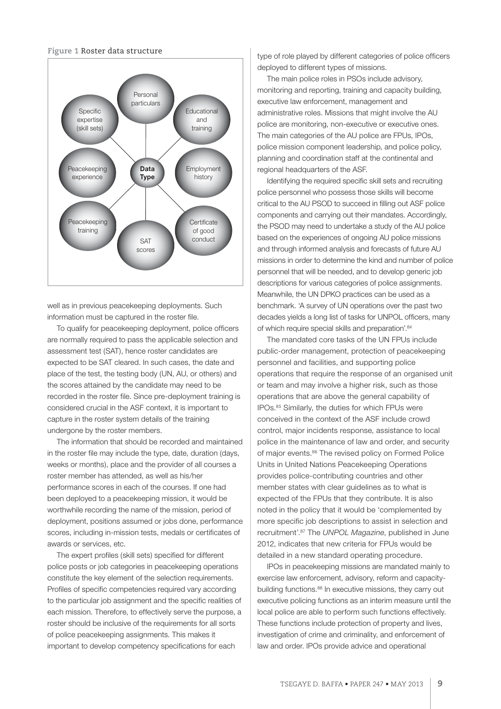#### **Figure 1** Roster data structure



well as in previous peacekeeping deployments. Such information must be captured in the roster file.

To qualify for peacekeeping deployment, police officers are normally required to pass the applicable selection and assessment test (SAT), hence roster candidates are expected to be SAT cleared. In such cases, the date and place of the test, the testing body (UN, AU, or others) and the scores attained by the candidate may need to be recorded in the roster file. Since pre-deployment training is considered crucial in the ASF context, it is important to capture in the roster system details of the training undergone by the roster members.

The information that should be recorded and maintained in the roster file may include the type, date, duration (days, weeks or months), place and the provider of all courses a roster member has attended, as well as his/her performance scores in each of the courses. If one had been deployed to a peacekeeping mission, it would be worthwhile recording the name of the mission, period of deployment, positions assumed or jobs done, performance scores, including in-mission tests, medals or certificates of awards or services, etc.

The expert profiles (skill sets) specified for different police posts or job categories in peacekeeping operations constitute the key element of the selection requirements. Profiles of specific competencies required vary according to the particular job assignment and the specific realities of each mission. Therefore, to effectively serve the purpose, a roster should be inclusive of the requirements for all sorts of police peacekeeping assignments. This makes it important to develop competency specifications for each

type of role played by different categories of police officers deployed to different types of missions.

The main police roles in PSOs include advisory, monitoring and reporting, training and capacity building, executive law enforcement, management and administrative roles. Missions that might involve the AU police are monitoring, non-executive or executive ones. The main categories of the AU police are FPUs, IPOs, police mission component leadership, and police policy, planning and coordination staff at the continental and regional headquarters of the ASF.

Identifying the required specific skill sets and recruiting police personnel who possess those skills will become critical to the AU PSOD to succeed in filling out ASF police components and carrying out their mandates. Accordingly, the PSOD may need to undertake a study of the AU police based on the experiences of ongoing AU police missions and through informed analysis and forecasts of future AU missions in order to determine the kind and number of police personnel that will be needed, and to develop generic job descriptions for various categories of police assignments. Meanwhile, the UN DPKO practices can be used as a benchmark. 'A survey of UN operations over the past two decades yields a long list of tasks for UNPOL officers, many of which require special skills and preparation'.84

The mandated core tasks of the UN FPUs include public-order management, protection of peacekeeping personnel and facilities, and supporting police operations that require the response of an organised unit or team and may involve a higher risk, such as those operations that are above the general capability of IPOs.85 Similarly, the duties for which FPUs were conceived in the context of the ASF include crowd control, major incidents response, assistance to local police in the maintenance of law and order, and security of major events.<sup>86</sup> The revised policy on Formed Police Units in United Nations Peacekeeping Operations provides police-contributing countries and other member states with clear guidelines as to what is expected of the FPUs that they contribute. It is also noted in the policy that it would be 'complemented by more specific job descriptions to assist in selection and recruitment'.87 The *UNPOL Magazine*, published in June 2012, indicates that new criteria for FPUs would be detailed in a new standard operating procedure.

IPOs in peacekeeping missions are mandated mainly to exercise law enforcement, advisory, reform and capacitybuilding functions.<sup>88</sup> In executive missions, they carry out executive policing functions as an interim measure until the local police are able to perform such functions effectively. These functions include protection of property and lives, investigation of crime and criminality, and enforcement of law and order. IPOs provide advice and operational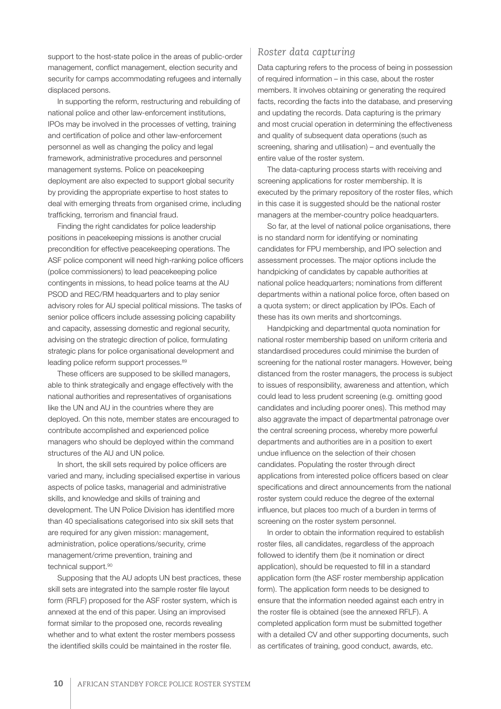support to the host-state police in the areas of public-order management, conflict management, election security and security for camps accommodating refugees and internally displaced persons.

In supporting the reform, restructuring and rebuilding of national police and other law-enforcement institutions, IPOs may be involved in the processes of vetting, training and certification of police and other law-enforcement personnel as well as changing the policy and legal framework, administrative procedures and personnel management systems. Police on peacekeeping deployment are also expected to support global security by providing the appropriate expertise to host states to deal with emerging threats from organised crime, including trafficking, terrorism and financial fraud.

Finding the right candidates for police leadership positions in peacekeeping missions is another crucial precondition for effective peacekeeping operations. The ASF police component will need high-ranking police officers (police commissioners) to lead peacekeeping police contingents in missions, to head police teams at the AU PSOD and REC/RM headquarters and to play senior advisory roles for AU special political missions. The tasks of senior police officers include assessing policing capability and capacity, assessing domestic and regional security, advising on the strategic direction of police, formulating strategic plans for police organisational development and leading police reform support processes.<sup>89</sup>

These officers are supposed to be skilled managers, able to think strategically and engage effectively with the national authorities and representatives of organisations like the UN and AU in the countries where they are deployed. On this note, member states are encouraged to contribute accomplished and experienced police managers who should be deployed within the command structures of the AU and UN police.

In short, the skill sets required by police officers are varied and many, including specialised expertise in various aspects of police tasks, managerial and administrative skills, and knowledge and skills of training and development. The UN Police Division has identified more than 40 specialisations categorised into six skill sets that are required for any given mission: management, administration, police operations/security, crime management/crime prevention, training and technical support.90

Supposing that the AU adopts UN best practices, these skill sets are integrated into the sample roster file layout form (RFLF) proposed for the ASF roster system, which is annexed at the end of this paper. Using an improvised format similar to the proposed one, records revealing whether and to what extent the roster members possess the identified skills could be maintained in the roster file.

#### *Roster data capturing*

Data capturing refers to the process of being in possession of required information – in this case, about the roster members. It involves obtaining or generating the required facts, recording the facts into the database, and preserving and updating the records. Data capturing is the primary and most crucial operation in determining the effectiveness and quality of subsequent data operations (such as screening, sharing and utilisation) – and eventually the entire value of the roster system.

The data-capturing process starts with receiving and screening applications for roster membership. It is executed by the primary repository of the roster files, which in this case it is suggested should be the national roster managers at the member-country police headquarters.

So far, at the level of national police organisations, there is no standard norm for identifying or nominating candidates for FPU membership, and IPO selection and assessment processes. The major options include the handpicking of candidates by capable authorities at national police headquarters; nominations from different departments within a national police force, often based on a quota system; or direct application by IPOs. Each of these has its own merits and shortcomings.

Handpicking and departmental quota nomination for national roster membership based on uniform criteria and standardised procedures could minimise the burden of screening for the national roster managers. However, being distanced from the roster managers, the process is subject to issues of responsibility, awareness and attention, which could lead to less prudent screening (e.g. omitting good candidates and including poorer ones). This method may also aggravate the impact of departmental patronage over the central screening process, whereby more powerful departments and authorities are in a position to exert undue influence on the selection of their chosen candidates. Populating the roster through direct applications from interested police officers based on clear specifications and direct announcements from the national roster system could reduce the degree of the external influence, but places too much of a burden in terms of screening on the roster system personnel.

In order to obtain the information required to establish roster files, all candidates, regardless of the approach followed to identify them (be it nomination or direct application), should be requested to fill in a standard application form (the ASF roster membership application form). The application form needs to be designed to ensure that the information needed against each entry in the roster file is obtained (see the annexed RFLF). A completed application form must be submitted together with a detailed CV and other supporting documents, such as certificates of training, good conduct, awards, etc.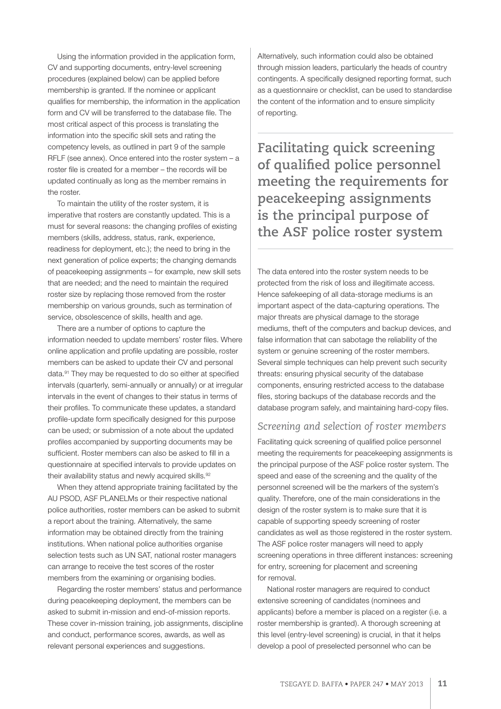Using the information provided in the application form, CV and supporting documents, entry-level screening procedures (explained below) can be applied before membership is granted. If the nominee or applicant qualifies for membership, the information in the application form and CV will be transferred to the database file. The most critical aspect of this process is translating the information into the specific skill sets and rating the competency levels, as outlined in part 9 of the sample RFLF (see annex). Once entered into the roster system – a roster file is created for a member – the records will be updated continually as long as the member remains in the roster.

To maintain the utility of the roster system, it is imperative that rosters are constantly updated. This is a must for several reasons: the changing profiles of existing members (skills, address, status, rank, experience, readiness for deployment, etc.); the need to bring in the next generation of police experts; the changing demands of peacekeeping assignments – for example, new skill sets that are needed; and the need to maintain the required roster size by replacing those removed from the roster membership on various grounds, such as termination of service, obsolescence of skills, health and age.

There are a number of options to capture the information needed to update members' roster files. Where online application and profile updating are possible, roster members can be asked to update their CV and personal data.91 They may be requested to do so either at specified intervals (quarterly, semi-annually or annually) or at irregular intervals in the event of changes to their status in terms of their profiles. To communicate these updates, a standard profile-update form specifically designed for this purpose can be used; or submission of a note about the updated profiles accompanied by supporting documents may be sufficient. Roster members can also be asked to fill in a questionnaire at specified intervals to provide updates on their availability status and newly acquired skills.<sup>92</sup>

When they attend appropriate training facilitated by the AU PSOD, ASF PLANELMs or their respective national police authorities, roster members can be asked to submit a report about the training. Alternatively, the same information may be obtained directly from the training institutions. When national police authorities organise selection tests such as UN SAT, national roster managers can arrange to receive the test scores of the roster members from the examining or organising bodies.

Regarding the roster members' status and performance during peacekeeping deployment, the members can be asked to submit in-mission and end-of-mission reports. These cover in-mission training, job assignments, discipline and conduct, performance scores, awards, as well as relevant personal experiences and suggestions.

Alternatively, such information could also be obtained through mission leaders, particularly the heads of country contingents. A specifically designed reporting format, such as a questionnaire or checklist, can be used to standardise the content of the information and to ensure simplicity of reporting.

**Facilitating quick screening**  of qualified police personnel **meeting the requirements for peacekeeping assignments is the principal purpose of the ASF police roster system**

The data entered into the roster system needs to be protected from the risk of loss and illegitimate access. Hence safekeeping of all data-storage mediums is an important aspect of the data-capturing operations. The major threats are physical damage to the storage mediums, theft of the computers and backup devices, and false information that can sabotage the reliability of the system or genuine screening of the roster members. Several simple techniques can help prevent such security threats: ensuring physical security of the database components, ensuring restricted access to the database files, storing backups of the database records and the database program safely, and maintaining hard-copy files.

#### *Screening and selection of roster members*

Facilitating quick screening of qualified police personnel meeting the requirements for peacekeeping assignments is the principal purpose of the ASF police roster system. The speed and ease of the screening and the quality of the personnel screened will be the markers of the system's quality. Therefore, one of the main considerations in the design of the roster system is to make sure that it is capable of supporting speedy screening of roster candidates as well as those registered in the roster system. The ASF police roster managers will need to apply screening operations in three different instances: screening for entry, screening for placement and screening for removal.

National roster managers are required to conduct extensive screening of candidates (nominees and applicants) before a member is placed on a register (i.e. a roster membership is granted). A thorough screening at this level (entry-level screening) is crucial, in that it helps develop a pool of preselected personnel who can be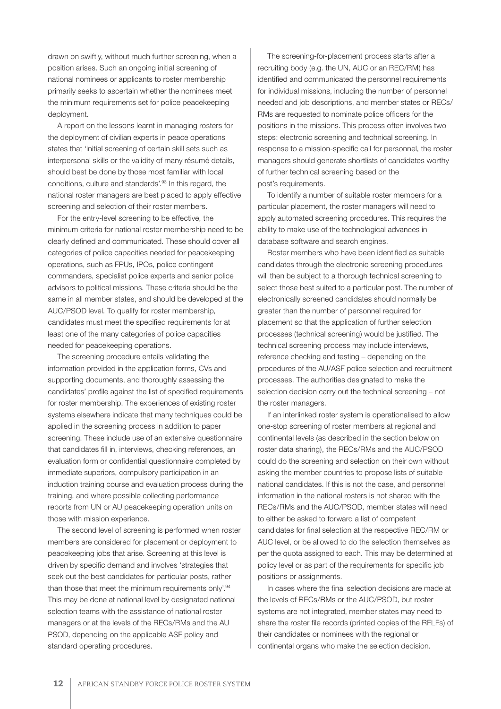drawn on swiftly, without much further screening, when a position arises. Such an ongoing initial screening of national nominees or applicants to roster membership primarily seeks to ascertain whether the nominees meet the minimum requirements set for police peacekeeping deployment.

A report on the lessons learnt in managing rosters for the deployment of civilian experts in peace operations states that 'initial screening of certain skill sets such as interpersonal skills or the validity of many résumé details, should best be done by those most familiar with local conditions, culture and standards'.93 In this regard, the national roster managers are best placed to apply effective screening and selection of their roster members.

For the entry-level screening to be effective, the minimum criteria for national roster membership need to be clearly defined and communicated. These should cover all categories of police capacities needed for peacekeeping operations, such as FPUs, IPOs, police contingent commanders, specialist police experts and senior police advisors to political missions. These criteria should be the same in all member states, and should be developed at the AUC/PSOD level. To qualify for roster membership, candidates must meet the specified requirements for at least one of the many categories of police capacities needed for peacekeeping operations.

The screening procedure entails validating the information provided in the application forms, CVs and supporting documents, and thoroughly assessing the candidates' profile against the list of specified requirements for roster membership. The experiences of existing roster systems elsewhere indicate that many techniques could be applied in the screening process in addition to paper screening. These include use of an extensive questionnaire that candidates fill in, interviews, checking references, an evaluation form or confidential questionnaire completed by immediate superiors, compulsory participation in an induction training course and evaluation process during the training, and where possible collecting performance reports from UN or AU peacekeeping operation units on those with mission experience.

The second level of screening is performed when roster members are considered for placement or deployment to peacekeeping jobs that arise. Screening at this level is driven by specific demand and involves 'strategies that seek out the best candidates for particular posts, rather than those that meet the minimum requirements only'.94 This may be done at national level by designated national selection teams with the assistance of national roster managers or at the levels of the RECs/RMs and the AU PSOD, depending on the applicable ASF policy and standard operating procedures.

The screening-for-placement process starts after a recruiting body (e.g. the UN, AUC or an REC/RM) has identified and communicated the personnel requirements for individual missions, including the number of personnel needed and job descriptions, and member states or RECs/ RMs are requested to nominate police officers for the positions in the missions. This process often involves two steps: electronic screening and technical screening. In response to a mission-specific call for personnel, the roster managers should generate shortlists of candidates worthy of further technical screening based on the post's requirements.

To identify a number of suitable roster members for a particular placement, the roster managers will need to apply automated screening procedures. This requires the ability to make use of the technological advances in database software and search engines.

Roster members who have been identified as suitable candidates through the electronic screening procedures will then be subject to a thorough technical screening to select those best suited to a particular post. The number of electronically screened candidates should normally be greater than the number of personnel required for placement so that the application of further selection processes (technical screening) would be justified. The technical screening process may include interviews, reference checking and testing – depending on the procedures of the AU/ASF police selection and recruitment processes. The authorities designated to make the selection decision carry out the technical screening – not the roster managers.

If an interlinked roster system is operationalised to allow one-stop screening of roster members at regional and continental levels (as described in the section below on roster data sharing), the RECs/RMs and the AUC/PSOD could do the screening and selection on their own without asking the member countries to propose lists of suitable national candidates. If this is not the case, and personnel information in the national rosters is not shared with the RECs/RMs and the AUC/PSOD, member states will need to either be asked to forward a list of competent candidates for final selection at the respective REC/RM or AUC level, or be allowed to do the selection themselves as per the quota assigned to each. This may be determined at policy level or as part of the requirements for specific job positions or assignments.

In cases where the final selection decisions are made at the levels of RECs/RMs or the AUC/PSOD, but roster systems are not integrated, member states may need to share the roster file records (printed copies of the RFLFs) of their candidates or nominees with the regional or continental organs who make the selection decision.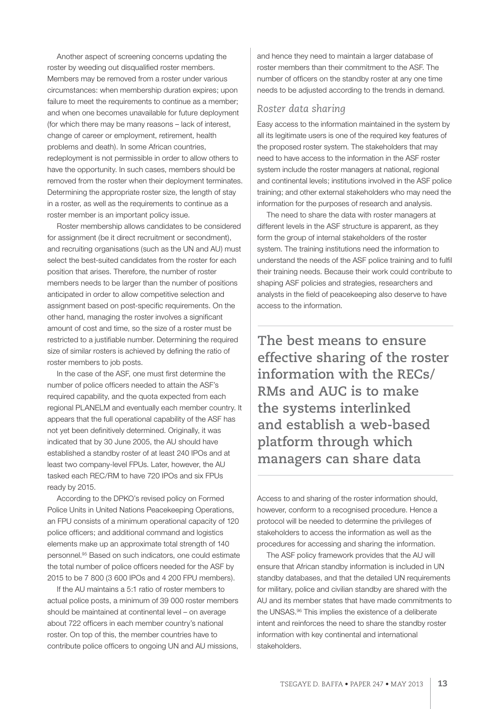Another aspect of screening concerns updating the roster by weeding out disqualified roster members. Members may be removed from a roster under various circumstances: when membership duration expires; upon failure to meet the requirements to continue as a member: and when one becomes unavailable for future deployment (for which there may be many reasons – lack of interest, change of career or employment, retirement, health problems and death). In some African countries, redeployment is not permissible in order to allow others to have the opportunity. In such cases, members should be removed from the roster when their deployment terminates. Determining the appropriate roster size, the length of stay in a roster, as well as the requirements to continue as a roster member is an important policy issue.

Roster membership allows candidates to be considered for assignment (be it direct recruitment or secondment), and recruiting organisations (such as the UN and AU) must select the best-suited candidates from the roster for each position that arises. Therefore, the number of roster members needs to be larger than the number of positions anticipated in order to allow competitive selection and assignment based on post-specific requirements. On the other hand, managing the roster involves a significant amount of cost and time, so the size of a roster must be restricted to a justifiable number. Determining the required size of similar rosters is achieved by defining the ratio of roster members to job posts.

In the case of the ASF, one must first determine the number of police officers needed to attain the ASF's required capability, and the quota expected from each regional PLANELM and eventually each member country. It appears that the full operational capability of the ASF has not yet been definitively determined. Originally, it was indicated that by 30 June 2005, the AU should have established a standby roster of at least 240 IPOs and at least two company-level FPUs. Later, however, the AU tasked each REC/RM to have 720 IPOs and six FPUs ready by 2015.

According to the DPKO's revised policy on Formed Police Units in United Nations Peacekeeping Operations, an FPU consists of a minimum operational capacity of 120 police officers; and additional command and logistics elements make up an approximate total strength of 140 personnel.95 Based on such indicators, one could estimate the total number of police officers needed for the ASF by 2015 to be 7 800 (3 600 IPOs and 4 200 FPU members).

If the AU maintains a 5:1 ratio of roster members to actual police posts, a minimum of 39 000 roster members should be maintained at continental level – on average about 722 officers in each member country's national roster. On top of this, the member countries have to contribute police officers to ongoing UN and AU missions,

and hence they need to maintain a larger database of roster members than their commitment to the ASF. The number of officers on the standby roster at any one time needs to be adjusted according to the trends in demand.

#### *Roster data sharing*

Easy access to the information maintained in the system by all its legitimate users is one of the required key features of the proposed roster system. The stakeholders that may need to have access to the information in the ASF roster system include the roster managers at national, regional and continental levels; institutions involved in the ASF police training; and other external stakeholders who may need the information for the purposes of research and analysis.

The need to share the data with roster managers at different levels in the ASF structure is apparent, as they form the group of internal stakeholders of the roster system. The training institutions need the information to understand the needs of the ASF police training and to fulfil their training needs. Because their work could contribute to shaping ASF policies and strategies, researchers and analysts in the field of peacekeeping also deserve to have access to the information.

**The best means to ensure effective sharing of the roster information with the RECs/ RMs and AUC is to make the systems interlinked and establish a web-based platform through which managers can share data**

Access to and sharing of the roster information should, however, conform to a recognised procedure. Hence a protocol will be needed to determine the privileges of stakeholders to access the information as well as the procedures for accessing and sharing the information.

The ASF policy framework provides that the AU will ensure that African standby information is included in UN standby databases, and that the detailed UN requirements for military, police and civilian standby are shared with the AU and its member states that have made commitments to the UNSAS.<sup>96</sup> This implies the existence of a deliberate intent and reinforces the need to share the standby roster information with key continental and international stakeholders.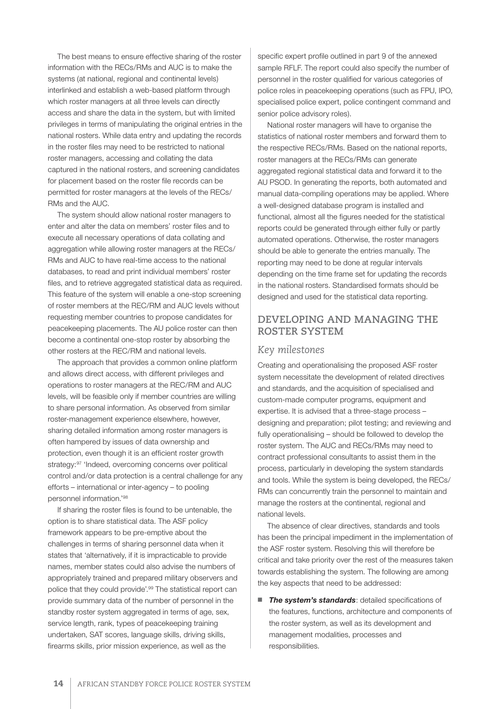The best means to ensure effective sharing of the roster information with the RECs/RMs and AUC is to make the systems (at national, regional and continental levels) interlinked and establish a web-based platform through which roster managers at all three levels can directly access and share the data in the system, but with limited privileges in terms of manipulating the original entries in the national rosters. While data entry and updating the records in the roster files may need to be restricted to national roster managers, accessing and collating the data captured in the national rosters, and screening candidates for placement based on the roster file records can be permitted for roster managers at the levels of the RECs/ RMs and the AUC.

The system should allow national roster managers to enter and alter the data on members' roster files and to execute all necessary operations of data collating and aggregation while allowing roster managers at the RECs/ RMs and AUC to have real-time access to the national databases, to read and print individual members' roster files, and to retrieve aggregated statistical data as required. This feature of the system will enable a one-stop screening of roster members at the REC/RM and AUC levels without requesting member countries to propose candidates for peacekeeping placements. The AU police roster can then become a continental one-stop roster by absorbing the other rosters at the REC/RM and national levels.

The approach that provides a common online platform and allows direct access, with different privileges and operations to roster managers at the REC/RM and AUC levels, will be feasible only if member countries are willing to share personal information. As observed from similar roster-management experience elsewhere, however, sharing detailed information among roster managers is often hampered by issues of data ownership and protection, even though it is an efficient roster growth strategy:<sup>97</sup> 'Indeed, overcoming concerns over political control and/or data protection is a central challenge for any efforts – international or inter-agency – to pooling personnel information.'98

If sharing the roster files is found to be untenable, the option is to share statistical data. The ASF policy framework appears to be pre-emptive about the challenges in terms of sharing personnel data when it states that 'alternatively, if it is impracticable to provide names, member states could also advise the numbers of appropriately trained and prepared military observers and police that they could provide'.99 The statistical report can provide summary data of the number of personnel in the standby roster system aggregated in terms of age, sex, service length, rank, types of peacekeeping training undertaken, SAT scores, language skills, driving skills, firearms skills, prior mission experience, as well as the

specific expert profile outlined in part 9 of the annexed sample RFLF. The report could also specify the number of personnel in the roster qualified for various categories of police roles in peacekeeping operations (such as FPU, IPO, specialised police expert, police contingent command and senior police advisory roles).

National roster managers will have to organise the statistics of national roster members and forward them to the respective RECs/RMs. Based on the national reports, roster managers at the RECs/RMs can generate aggregated regional statistical data and forward it to the AU PSOD. In generating the reports, both automated and manual data-compiling operations may be applied. Where a well-designed database program is installed and functional, almost all the figures needed for the statistical reports could be generated through either fully or partly automated operations. Otherwise, the roster managers should be able to generate the entries manually. The reporting may need to be done at regular intervals depending on the time frame set for updating the records in the national rosters. Standardised formats should be designed and used for the statistical data reporting.

#### **DEVELOPING AND MANAGING THE ROSTER SYSTEM**

#### *Key milestones*

Creating and operationalising the proposed ASF roster system necessitate the development of related directives and standards, and the acquisition of specialised and custom-made computer programs, equipment and expertise. It is advised that a three-stage process – designing and preparation; pilot testing; and reviewing and fully operationalising – should be followed to develop the roster system. The AUC and RECs/RMs may need to contract professional consultants to assist them in the process, particularly in developing the system standards and tools. While the system is being developed, the RECs/ RMs can concurrently train the personnel to maintain and manage the rosters at the continental, regional and national levels.

The absence of clear directives, standards and tools has been the principal impediment in the implementation of the ASF roster system. Resolving this will therefore be critical and take priority over the rest of the measures taken towards establishing the system. The following are among the key aspects that need to be addressed:

■ *The system's standards*: detailed specifications of the features, functions, architecture and components of the roster system, as well as its development and management modalities, processes and responsibilities.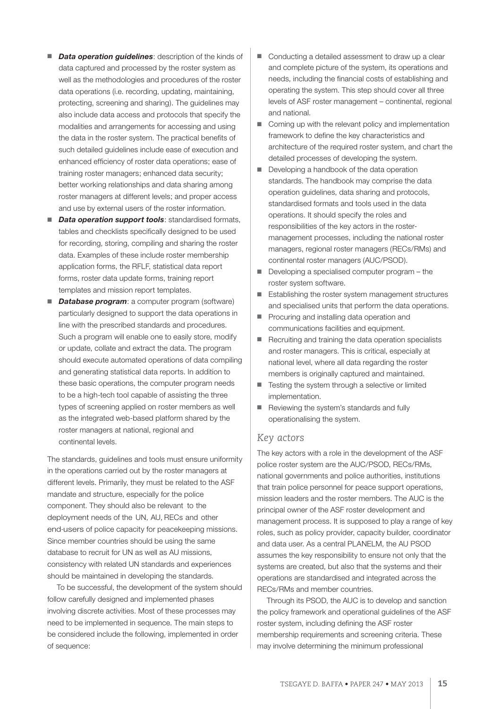- *Data operation guidelines: description of the kinds of* data captured and processed by the roster system as well as the methodologies and procedures of the roster data operations (i.e. recording, updating, maintaining, protecting, screening and sharing). The guidelines may also include data access and protocols that specify the modalities and arrangements for accessing and using the data in the roster system. The practical benefits of such detailed guidelines include ease of execution and enhanced efficiency of roster data operations; ease of training roster managers; enhanced data security; better working relationships and data sharing among roster managers at different levels; and proper access and use by external users of the roster information.
- **Data operation support tools**: standardised formats, tables and checklists specifically designed to be used for recording, storing, compiling and sharing the roster data. Examples of these include roster membership application forms, the RFLF, statistical data report forms, roster data update forms, training report templates and mission report templates.
- *Database program*: a computer program (software) particularly designed to support the data operations in line with the prescribed standards and procedures. Such a program will enable one to easily store, modify or update, collate and extract the data. The program should execute automated operations of data compiling and generating statistical data reports. In addition to these basic operations, the computer program needs to be a high-tech tool capable of assisting the three types of screening applied on roster members as well as the integrated web-based platform shared by the roster managers at national, regional and continental levels.

The standards, guidelines and tools must ensure uniformity in the operations carried out by the roster managers at different levels. Primarily, they must be related to the ASF mandate and structure, especially for the police component. They should also be relevant to the deployment needs of the UN, AU, RECs and other end-users of police capacity for peacekeeping missions. Since member countries should be using the same database to recruit for UN as well as AU missions, consistency with related UN standards and experiences should be maintained in developing the standards.

To be successful, the development of the system should follow carefully designed and implemented phases involving discrete activities. Most of these processes may need to be implemented in sequence. The main steps to be considered include the following, implemented in order of sequence:

- Conducting a detailed assessment to draw up a clear and complete picture of the system, its operations and needs, including the financial costs of establishing and operating the system. This step should cover all three levels of ASF roster management – continental, regional and national.
- Coming up with the relevant policy and implementation framework to define the key characteristics and architecture of the required roster system, and chart the detailed processes of developing the system.
- Developing a handbook of the data operation standards. The handbook may comprise the data operation guidelines, data sharing and protocols, standardised formats and tools used in the data operations. It should specify the roles and responsibilities of the key actors in the rostermanagement processes, including the national roster managers, regional roster managers (RECs/RMs) and continental roster managers (AUC/PSOD).
- Developing a specialised computer program the roster system software.
- Establishing the roster system management structures and specialised units that perform the data operations.
- Procuring and installing data operation and communications facilities and equipment.
- Recruiting and training the data operation specialists and roster managers. This is critical, especially at national level, where all data regarding the roster members is originally captured and maintained.
- Testing the system through a selective or limited implementation.
- Reviewing the system's standards and fully operationalising the system.

#### *Key actors*

The key actors with a role in the development of the ASF police roster system are the AUC/PSOD, RECs/RMs, national governments and police authorities, institutions that train police personnel for peace support operations, mission leaders and the roster members. The AUC is the principal owner of the ASF roster development and management process. It is supposed to play a range of key roles, such as policy provider, capacity builder, coordinator and data user. As a central PLANELM, the AU PSOD assumes the key responsibility to ensure not only that the systems are created, but also that the systems and their operations are standardised and integrated across the RECs/RMs and member countries.

Through its PSOD, the AUC is to develop and sanction the policy framework and operational guidelines of the ASF roster system, including defining the ASF roster membership requirements and screening criteria. These may involve determining the minimum professional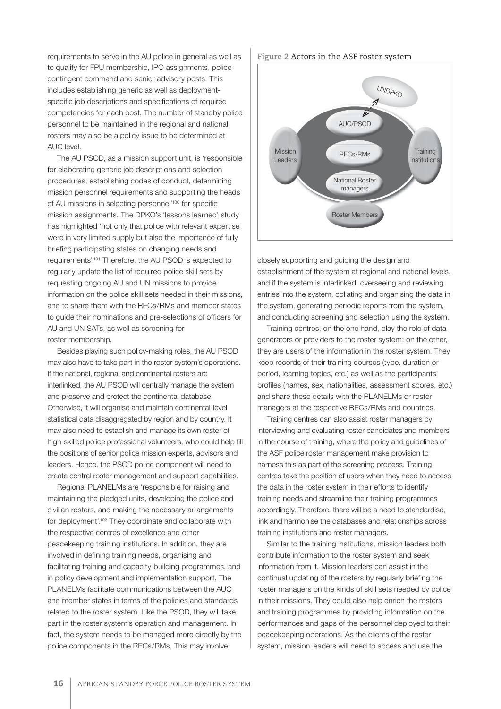requirements to serve in the AU police in general as well as to qualify for FPU membership, IPO assignments, police contingent command and senior advisory posts. This includes establishing generic as well as deploymentspecific job descriptions and specifications of required competencies for each post. The number of standby police personnel to be maintained in the regional and national rosters may also be a policy issue to be determined at AUC level.

The AU PSOD, as a mission support unit, is 'responsible for elaborating generic job descriptions and selection procedures, establishing codes of conduct, determining mission personnel requirements and supporting the heads of AU missions in selecting personnel'<sup>100</sup> for specific mission assignments. The DPKO's 'lessons learned' study has highlighted 'not only that police with relevant expertise were in very limited supply but also the importance of fully briefing participating states on changing needs and requirements'.101 Therefore, the AU PSOD is expected to regularly update the list of required police skill sets by requesting ongoing AU and UN missions to provide information on the police skill sets needed in their missions, and to share them with the RECs/RMs and member states to guide their nominations and pre-selections of officers for AU and UN SATs, as well as screening for roster membership.

Besides playing such policy-making roles, the AU PSOD may also have to take part in the roster system's operations. If the national, regional and continental rosters are interlinked, the AU PSOD will centrally manage the system and preserve and protect the continental database. Otherwise, it will organise and maintain continental-level statistical data disaggregated by region and by country. It may also need to establish and manage its own roster of high-skilled police professional volunteers, who could help fill the positions of senior police mission experts, advisors and leaders. Hence, the PSOD police component will need to create central roster management and support capabilities.

Regional PLANELMs are 'responsible for raising and maintaining the pledged units, developing the police and civilian rosters, and making the necessary arrangements for deployment'.102 They coordinate and collaborate with the respective centres of excellence and other peacekeeping training institutions. In addition, they are involved in defining training needs, organising and facilitating training and capacity-building programmes, and in policy development and implementation support. The PLANELMs facilitate communications between the AUC and member states in terms of the policies and standards related to the roster system. Like the PSOD, they will take part in the roster system's operation and management. In fact, the system needs to be managed more directly by the police components in the RECs/RMs. This may involve

#### **Figure 2** Actors in the ASF roster system



closely supporting and guiding the design and establishment of the system at regional and national levels, and if the system is interlinked, overseeing and reviewing entries into the system, collating and organising the data in the system, generating periodic reports from the system, and conducting screening and selection using the system.

Training centres, on the one hand, play the role of data generators or providers to the roster system; on the other, they are users of the information in the roster system. They keep records of their training courses (type, duration or period, learning topics, etc.) as well as the participants' profiles (names, sex, nationalities, assessment scores, etc.) and share these details with the PLANELMs or roster managers at the respective RECs/RMs and countries.

Training centres can also assist roster managers by interviewing and evaluating roster candidates and members in the course of training, where the policy and guidelines of the ASF police roster management make provision to harness this as part of the screening process. Training centres take the position of users when they need to access the data in the roster system in their efforts to identify training needs and streamline their training programmes accordingly. Therefore, there will be a need to standardise, link and harmonise the databases and relationships across training institutions and roster managers.

Similar to the training institutions, mission leaders both contribute information to the roster system and seek information from it. Mission leaders can assist in the continual updating of the rosters by regularly briefing the roster managers on the kinds of skill sets needed by police in their missions. They could also help enrich the rosters and training programmes by providing information on the performances and gaps of the personnel deployed to their peacekeeping operations. As the clients of the roster system, mission leaders will need to access and use the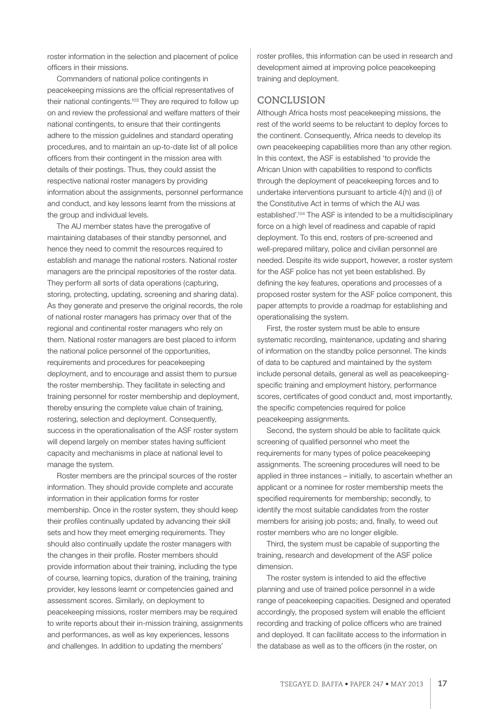roster information in the selection and placement of police officers in their missions.

Commanders of national police contingents in peacekeeping missions are the official representatives of their national contingents.<sup>103</sup> They are required to follow up on and review the professional and welfare matters of their national contingents, to ensure that their contingents adhere to the mission guidelines and standard operating procedures, and to maintain an up-to-date list of all police officers from their contingent in the mission area with details of their postings. Thus, they could assist the respective national roster managers by providing information about the assignments, personnel performance and conduct, and key lessons learnt from the missions at the group and individual levels.

The AU member states have the prerogative of maintaining databases of their standby personnel, and hence they need to commit the resources required to establish and manage the national rosters. National roster managers are the principal repositories of the roster data. They perform all sorts of data operations (capturing, storing, protecting, updating, screening and sharing data). As they generate and preserve the original records, the role of national roster managers has primacy over that of the regional and continental roster managers who rely on them. National roster managers are best placed to inform the national police personnel of the opportunities, requirements and procedures for peacekeeping deployment, and to encourage and assist them to pursue the roster membership. They facilitate in selecting and training personnel for roster membership and deployment, thereby ensuring the complete value chain of training, rostering, selection and deployment. Consequently, success in the operationalisation of the ASF roster system will depend largely on member states having sufficient capacity and mechanisms in place at national level to manage the system.

Roster members are the principal sources of the roster information. They should provide complete and accurate information in their application forms for roster membership. Once in the roster system, they should keep their profiles continually updated by advancing their skill sets and how they meet emerging requirements. They should also continually update the roster managers with the changes in their profile. Roster members should provide information about their training, including the type of course, learning topics, duration of the training, training provider, key lessons learnt or competencies gained and assessment scores. Similarly, on deployment to peacekeeping missions, roster members may be required to write reports about their in-mission training, assignments and performances, as well as key experiences, lessons and challenges. In addition to updating the members'

roster profiles, this information can be used in research and development aimed at improving police peacekeeping training and deployment.

#### **CONCLUSION**

Although Africa hosts most peacekeeping missions, the rest of the world seems to be reluctant to deploy forces to the continent. Consequently, Africa needs to develop its own peacekeeping capabilities more than any other region. In this context, the ASF is established 'to provide the African Union with capabilities to respond to conflicts through the deployment of peacekeeping forces and to undertake interventions pursuant to article 4(h) and (i) of the Constitutive Act in terms of which the AU was established'.104 The ASF is intended to be a multidisciplinary force on a high level of readiness and capable of rapid deployment. To this end, rosters of pre-screened and well-prepared military, police and civilian personnel are needed. Despite its wide support, however, a roster system for the ASF police has not yet been established. By defining the key features, operations and processes of a proposed roster system for the ASF police component, this paper attempts to provide a roadmap for establishing and operationalising the system.

First, the roster system must be able to ensure systematic recording, maintenance, updating and sharing of information on the standby police personnel. The kinds of data to be captured and maintained by the system include personal details, general as well as peacekeepingspecific training and employment history, performance scores, certificates of good conduct and, most importantly, the specific competencies required for police peacekeeping assignments.

Second, the system should be able to facilitate quick screening of qualified personnel who meet the requirements for many types of police peacekeeping assignments. The screening procedures will need to be applied in three instances – initially, to ascertain whether an applicant or a nominee for roster membership meets the specified requirements for membership; secondly, to identify the most suitable candidates from the roster members for arising job posts; and, finally, to weed out roster members who are no longer eligible.

Third, the system must be capable of supporting the training, research and development of the ASF police dimension.

The roster system is intended to aid the effective planning and use of trained police personnel in a wide range of peacekeeping capacities. Designed and operated accordingly, the proposed system will enable the efficient recording and tracking of police officers who are trained and deployed. It can facilitate access to the information in the database as well as to the officers (in the roster, on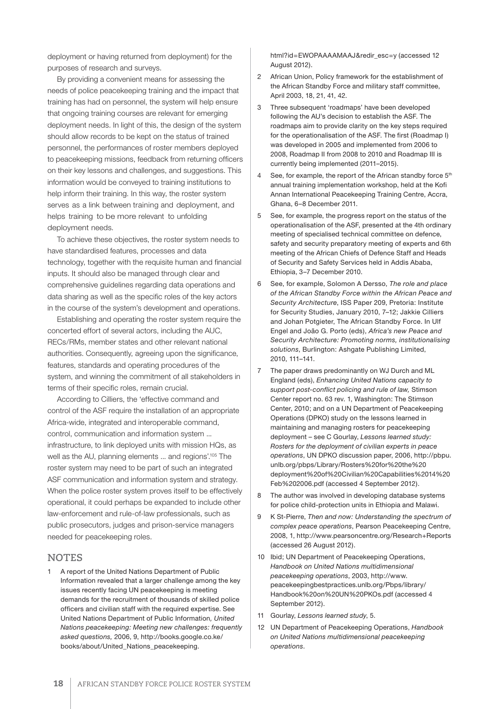deployment or having returned from deployment) for the purposes of research and surveys.

By providing a convenient means for assessing the needs of police peacekeeping training and the impact that training has had on personnel, the system will help ensure that ongoing training courses are relevant for emerging deployment needs. In light of this, the design of the system should allow records to be kept on the status of trained personnel, the performances of roster members deployed to peacekeeping missions, feedback from returning officers on their key lessons and challenges, and suggestions. This information would be conveyed to training institutions to help inform their training. In this way, the roster system serves as a link between training and deployment, and helps training to be more relevant to unfolding deployment needs.

To achieve these objectives, the roster system needs to have standardised features, processes and data technology, together with the requisite human and financial inputs. It should also be managed through clear and comprehensive guidelines regarding data operations and data sharing as well as the specific roles of the key actors in the course of the system's development and operations.

Establishing and operating the roster system require the concerted effort of several actors, including the AUC, RECs/RMs, member states and other relevant national authorities. Consequently, agreeing upon the significance, features, standards and operating procedures of the system, and winning the commitment of all stakeholders in terms of their specific roles, remain crucial.

According to Cilliers, the 'effective command and control of the ASF require the installation of an appropriate Africa-wide, integrated and interoperable command, control, communication and information system ... infrastructure, to link deployed units with mission HQs, as well as the AU, planning elements ... and regions'.105 The roster system may need to be part of such an integrated ASF communication and information system and strategy. When the police roster system proves itself to be effectively operational, it could perhaps be expanded to include other law-enforcement and rule-of-law professionals, such as public prosecutors, judges and prison-service managers needed for peacekeeping roles.

#### **NOTES**

A report of the United Nations Department of Public Information revealed that a larger challenge among the key issues recently facing UN peacekeeping is meeting demands for the recruitment of thousands of skilled police officers and civilian staff with the required expertise. See United Nations Department of Public Information*, United Nations peacekeeping: Meeting new challenges: frequently asked questions,* 2006, 9, http://books.google.co.ke/ books/about/United\_Nations\_peacekeeping.

html?id=EWOPAAAAMAAJ&redir\_esc=y (accessed 12 August 2012).

- 2 African Union, Policy framework for the establishment of the African Standby Force and military staff committee, April 2003, 18, 21, 41, 42.
- 3 Three subsequent 'roadmaps' have been developed following the AU's decision to establish the ASF. The roadmaps aim to provide clarity on the key steps required for the operationalisation of the ASF. The first (Roadmap I) was developed in 2005 and implemented from 2006 to 2008, Roadmap II from 2008 to 2010 and Roadmap III is currently being implemented (2011–2015).
- 4 See, for example, the report of the African standby force 5<sup>th</sup> annual training implementation workshop, held at the Kofi Annan International Peacekeeping Training Centre, Accra, Ghana, 6–8 December 2011.
- 5 See, for example, the progress report on the status of the operationalisation of the ASF, presented at the 4th ordinary meeting of specialised technical committee on defence, safety and security preparatory meeting of experts and 6th meeting of the African Chiefs of Defence Staff and Heads of Security and Safety Services held in Addis Ababa, Ethiopia, 3–7 December 2010.
- 6 See, for example, Solomon A Dersso, *The role and place of the African Standby Force within the African Peace and Security Architecture*, ISS Paper 209, Pretoria: Institute for Security Studies, January 2010, 7–12; Jakkie Cilliers and Johan Potgieter, The African Standby Force. In Ulf Engel and João G. Porto (eds), *Africa's new Peace and Security Architecture: Promoting norms, institutionalising solutions*, Burlington: Ashgate Publishing Limited, 2010, 111–141.
- 7 The paper draws predominantly on WJ Durch and ML England (eds), *Enhancing United Nations capacity to support post-conflict policing and rule of law,* Stimson Center report no. 63 rev. 1, Washington: The Stimson Center, 2010; and on a UN Department of Peacekeeping Operations (DPKO) study on the lessons learned in maintaining and managing rosters for peacekeeping deployment – see C Gourlay, *Lessons learned study: Rosters for the deployment of civilian experts in peace operations*, UN DPKO discussion paper, 2006, http://pbpu. unlb.org/pbps/Library/Rosters%20for%20the%20 deployment%20of%20Civilian%20Capabilities%2014%20 Feb%202006.pdf (accessed 4 September 2012).
- 8 The author was involved in developing database systems for police child-protection units in Ethiopia and Malawi.
- 9 K St-Pierre, *Then and now: Understanding the spectrum of complex peace operations*, Pearson Peacekeeping Centre, 2008, 1, http://www.pearsoncentre.org/Research+Reports (accessed 26 August 2012).
- 10 Ibid; UN Department of Peacekeeping Operations, *Handbook on United Nations multidimensional peacekeeping operations*, 2003, http://www. peacekeepingbestpractices.unlb.org/Pbps/library/ Handbook%20on%20UN%20PKOs.pdf (accessed 4 September 2012).
- 11 Gourlay, *Lessons learned study*, 5.
- 12 UN Department of Peacekeeping Operations, *Handbook on United Nations multidimensional peacekeeping operations*.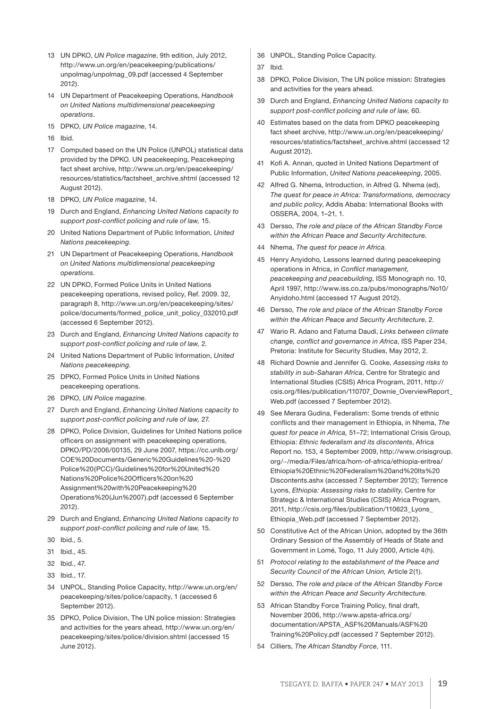- 13 UN DPKO, *UN Police magazine*, 9th edition, July 2012, http://www.un.org/en/peacekeeping/publications/ unpolmag/unpolmag\_09.pdf (accessed 4 September 2012).
- 14 UN Department of Peacekeeping Operations, *Handbook on United Nations multidimensional peacekeeping operations*.
- 15 DPKO, *UN Police magazine*, 14.
- 16 Ibid.
- 17 Computed based on the UN Police (UNPOL) statistical data provided by the DPKO. UN peacekeeping, Peacekeeping fact sheet archive, http://www.un.org/en/peacekeeping/ resources/statistics/factsheet\_archive.shtml (accessed 12 August 2012).
- 18 DPKO, *UN Police magazine*, 14.
- 19 Durch and England, *Enhancing United Nations capacity to support post-conflict policing and rule of law,* 15.
- 20 United Nations Department of Public Information, *United Nations peacekeeping*.
- 21 UN Department of Peacekeeping Operations, *Handbook on United Nations multidimensional peacekeeping operations*.
- 22 UN DPKO, Formed Police Units in United Nations peacekeeping operations, revised policy, Ref. 2009. 32, paragraph 8, http://www.un.org/en/peacekeeping/sites/ police/documents/formed\_police\_unit\_policy\_032010.pdf (accessed 6 September 2012).
- 23 Durch and England, *Enhancing United Nations capacity to support post-conflict policing and rule of law,* 2*.*
- 24 United Nations Department of Public Information, *United Nations peacekeeping*.
- 25 DPKO, Formed Police Units in United Nations peacekeeping operations.
- 26 DPKO, *UN Police magazine*.
- 27 Durch and England, *Enhancing United Nations capacity to support post-conflict policing and rule of law,* 27*.*
- 28 DPKO, Police Division, Guidelines for United Nations police officers on assignment with peacekeeping operations, DPKO/PD/2006/00135, 29 June 2007, https://cc.unlb.org/ COE%20Documents/Generic%20Guidelines%20-%20 Police%20(PCC)/Guidelines%20for%20United%20 Nations%20Police%20Officers%20on%20 Assignment%20with%20Peacekeeping%20 Operations%20(Jun%2007).pdf (accessed 6 September 2012).
- 29 Durch and England, *Enhancing United Nations capacity to support post-conflict policing and rule of law,* 15*.*
- 30 Ibid., 5.
- 31 Ibid., 45.
- 32 Ibid., 47.
- 33 Ibid., 17.
- 34 UNPOL, Standing Police Capacity, http://www.un.org/en/ peacekeeping/sites/police/capacity, 1 (accessed 6 September 2012).
- 35 DPKO, Police Division, The UN police mission: Strategies and activities for the years ahead, http://www.un.org/en/ peacekeeping/sites/police/division.shtml (accessed 15 June 2012).
- 36 UNPOL, Standing Police Capacity.
- 37 Ibid.
- 38 DPKO, Police Division, The UN police mission: Strategies and activities for the years ahead.
- 39 Durch and England, *Enhancing United Nations capacity to support post-conflict policing and rule of law,* 60.
- 40 Estimates based on the data from DPKO peacekeeping fact sheet archive, http://www.un.org/en/peacekeeping/ resources/statistics/factsheet\_archive.shtml (accessed 12 August 2012).
- 41 Kofi A. Annan, quoted in United Nations Department of Public Information, *United Nations peacekeeping*, 2005.
- 42 Alfred G. Nhema, Introduction, in Alfred G. Nhema (ed), *The quest for peace in Africa: Transformations, democracy and public policy*, Addis Ababa: International Books with OSSERA, 2004, 1–21, 1.
- 43 Dersso, *The role and place of the African Standby Force within the African Peace and Security Architecture*.
- 44 Nhema, *The quest for peace in Africa.*
- 45 Henry Anyidoho*,* Lessons learned during peacekeeping operations in Africa, in *Conflict management, peacekeeping and peacebuilding*, ISS Monograph no. 10, April 1997, http://www.iss.co.za/pubs/monographs/No10/ Anyidoho.html (accessed 17 August 2012).
- 46 Dersso, *The role and place of the African Standby Force within the African Peace and Security Architecture*, 2.
- 47 Wario R. Adano and Fatuma Daudi, *Links between climate change, conflict and governance in Africa*, ISS Paper 234, Pretoria: Institute for Security Studies, May 2012, 2.
- 48 Richard Downie and Jennifer G. Cooke, *Assessing risks to stability in sub-Saharan Africa*, Centre for Strategic and International Studies (CSIS) Africa Program, 2011, http:// csis.org/files/publication/110707\_Downie\_OverviewReport\_ Web.pdf (accessed 7 September 2012).
- 49 See Merara Gudina, Federalism: Some trends of ethnic conflicts and their management in Ethiopia, in Nhema, *The quest for peace in Africa,* 51–72; International Crisis Group, Ethiopia: *Ethnic federalism and its discontents*, Africa Report no. 153, 4 September 2009, http://www.crisisgroup. org/~/media/Files/africa/horn-of-africa/ethiopia-eritrea/ Ethiopia%20Ethnic%20Federalism%20and%20Its%20 Discontents.ashx (accessed 7 September 2012); Terrence Lyons, *Ethiopia: Assessing risks to stability*, Centre for Strategic & International Studies (CSIS) Africa Program, 2011, http://csis.org/files/publication/110623\_Lyons\_ Ethiopia\_Web.pdf (accessed 7 September 2012).
- 50 Constitutive Act of the African Union, adopted by the 36th Ordinary Session of the Assembly of Heads of State and Government in Lomé, Togo, 11 July 2000, Article 4(h).
- 51 *Protocol relating to the establishment of the Peace and Security Council of the African Union,* Article 2(1).
- 52 Dersso, *The role and place of the African Standby Force within the African Peace and Security Architecture*.
- 53 African Standby Force Training Policy, final draft, November 2006, http://www.apsta-africa.org/ documentation/APSTA\_ASF%20Manuals/ASF%20 Training%20Policy.pdf (accessed 7 September 2012).
- 54 Cilliers, *The African Standby Force*, 111.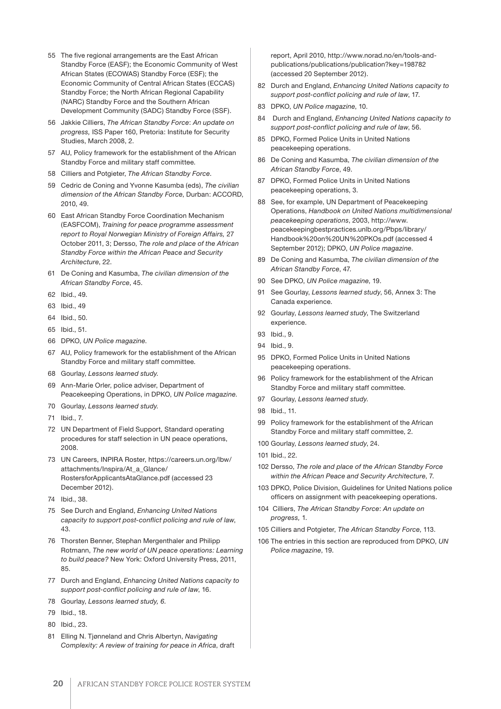- 55 The five regional arrangements are the East African Standby Force (EASF); the Economic Community of West African States (ECOWAS) Standby Force (ESF); the Economic Community of Central African States (ECCAS) Standby Force; the North African Regional Capability (NARC) Standby Force and the Southern African Development Community (SADC) Standby Force (SSF).
- 56 Jakkie Cilliers, *The African Standby Force*: *An update on progress,* ISS Paper 160, Pretoria: Institute for Security Studies, March 2008, 2.
- 57 AU, Policy framework for the establishment of the African Standby Force and military staff committee.
- 58 Cilliers and Potgieter, *The African Standby Force*.
- 59 Cedric de Coning and Yvonne Kasumba (eds), *The civilian dimension of the African Standby Force*, Durban: ACCORD, 2010, 49.
- 60 East African Standby Force Coordination Mechanism (EASFCOM), *Training for peace programme assessment report to Royal Norwegian Ministry of Foreign Affairs,* 27 October 2011, 3; Dersso, *The role and place of the African Standby Force within the African Peace and Security Architecture*, 22.
- 61 De Coning and Kasumba, *The civilian dimension of the African Standby Force*, 45.
- 62 Ibid., 49.
- 63 Ibid., 49
- 64 Ibid., 50.
- 65 Ibid., 51.
- 66 DPKO, *UN Police magazine*.
- 67 AU, Policy framework for the establishment of the African Standby Force and military staff committee.
- 68 Gourlay, *Lessons learned study.*
- 69 Ann-Marie Orler, police adviser, Department of Peacekeeping Operations, in DPKO, *UN Police magazine*.
- 70 Gourlay, *Lessons learned study.*
- 71 Ibid., 7.
- 72 UN Department of Field Support, Standard operating procedures for staff selection in UN peace operations, 2008.
- 73 UN Careers, INPIRA Roster, https://careers.un.org/lbw/ attachments/Inspira/At\_a\_Glance/ RostersforApplicantsAtaGlance.pdf (accessed 23 December 2012).
- 74 Ibid., 38.
- 75 See Durch and England, *Enhancing United Nations capacity to support post-conflict policing and rule of law*, 43.
- 76 Thorsten Benner, Stephan Mergenthaler and Philipp Rotmann, *The new world of UN peace operations: Learning to build peace?* New York: Oxford University Press, 2011, 85.
- 77 Durch and England, *Enhancing United Nations capacity to support post-conflict policing and rule of law*, 16.
- 78 Gourlay, *Lessons learned study, 6.*
- 79 Ibid., 18.
- 80 Ibid., 23.
- 81 Elling N. Tjønneland and Chris Albertyn, *Navigating Complexity: A review of training for peace in Africa*, draft

report, April 2010, http://www.norad.no/en/tools-andpublications/publications/publication?key=198782 (accessed 20 September 2012).

- 82 Durch and England, *Enhancing United Nations capacity to support post-conflict policing and rule of law*, 17.
- 83 DPKO, *UN Police magazine*, 10.
- 84 Durch and England, *Enhancing United Nations capacity to support post-conflict policing and rule of law*, 56.
- 85 DPKO, Formed Police Units in United Nations peacekeeping operations.
- 86 De Coning and Kasumba, *The civilian dimension of the African Standby Force*, 49.
- 87 DPKO, Formed Police Units in United Nations peacekeeping operations, 3.
- 88 See, for example, UN Department of Peacekeeping Operations, *Handbook on United Nations multidimensional peacekeeping operations*, 2003, http://www. peacekeepingbestpractices.unlb.org/Pbps/library/ Handbook%20on%20UN%20PKOs.pdf (accessed 4 September 2012); DPKO, *UN Police magazine*.
- 89 De Coning and Kasumba, *The civilian dimension of the African Standby Force*, 47.
- 90 See DPKO, *UN Police magazine*, 19.
- 91 See Gourlay, *Lessons learned study*, 56, Annex 3: The Canada experience.
- 92 Gourlay, *Lessons learned study*, The Switzerland experience.
- 93 Ibid., 9.
- 94 Ibid., 9.
- 95 DPKO, Formed Police Units in United Nations peacekeeping operations.
- 96 Policy framework for the establishment of the African Standby Force and military staff committee.
- 97 Gourlay, *Lessons learned study*.
- 98 Ibid., 11.
- 99 Policy framework for the establishment of the African Standby Force and military staff committee, 2.
- 100 Gourlay, *Lessons learned study*, 24.
- 101 Ibid., 22.
- 102 Dersso, *The role and place of the African Standby Force within the African Peace and Security Architecture*, 7.
- 103 DPKO, Police Division, Guidelines for United Nations police officers on assignment with peacekeeping operations.
- 104 Cilliers, *The African Standby Force*: *An update on progress,* 1.
- 105 Cilliers and Potgieter, *The African Standby Force*, 113.
- 106 The entries in this section are reproduced from DPKO, *UN Police magazine*, 19.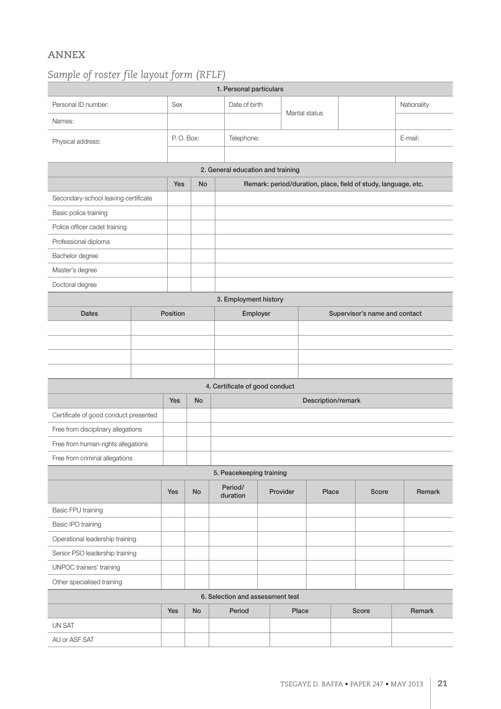### **ANNEX**

## *Sample of roster file layout form (RFLF)*

| 1. Personal particulars               |     |           |    |                                |                                                                |                   |  |                               |  |        |             |  |
|---------------------------------------|-----|-----------|----|--------------------------------|----------------------------------------------------------------|-------------------|--|-------------------------------|--|--------|-------------|--|
| Personal ID number:                   |     | Sex       |    | Date of birth                  |                                                                | Marital status    |  |                               |  |        | Nationality |  |
| Names:                                |     |           |    |                                |                                                                |                   |  |                               |  |        |             |  |
| Physical address:                     |     | P.O. Box: |    |                                | Telephone:                                                     |                   |  |                               |  |        | E-mail:     |  |
|                                       |     |           |    |                                |                                                                |                   |  |                               |  |        |             |  |
| 2. General education and training     |     |           |    |                                |                                                                |                   |  |                               |  |        |             |  |
|                                       |     |           | No |                                | Remark: period/duration, place, field of study, language, etc. |                   |  |                               |  |        |             |  |
| Secondary-school leaving certificate  |     |           |    |                                |                                                                |                   |  |                               |  |        |             |  |
| Basic police training                 |     |           |    |                                |                                                                |                   |  |                               |  |        |             |  |
| Police officer cadet training         |     |           |    |                                |                                                                |                   |  |                               |  |        |             |  |
| Professional diploma                  |     |           |    |                                |                                                                |                   |  |                               |  |        |             |  |
| Bachelor degree                       |     |           |    |                                |                                                                |                   |  |                               |  |        |             |  |
| Master's degree                       |     |           |    |                                |                                                                |                   |  |                               |  |        |             |  |
| Doctoral degree                       |     |           |    |                                |                                                                |                   |  |                               |  |        |             |  |
| 3. Employment history                 |     |           |    |                                |                                                                |                   |  |                               |  |        |             |  |
| <b>Dates</b>                          |     | Position  |    |                                | Employer                                                       |                   |  | Supervisor's name and contact |  |        |             |  |
|                                       |     |           |    |                                |                                                                |                   |  |                               |  |        |             |  |
|                                       |     |           |    |                                |                                                                |                   |  |                               |  |        |             |  |
|                                       |     |           |    |                                |                                                                |                   |  |                               |  |        |             |  |
|                                       |     |           |    |                                |                                                                |                   |  |                               |  |        |             |  |
|                                       |     |           |    | 4. Certificate of good conduct |                                                                |                   |  |                               |  |        |             |  |
|                                       | Yes | No        |    | Description/remark             |                                                                |                   |  |                               |  |        |             |  |
| Certificate of good conduct presented |     |           |    |                                |                                                                |                   |  |                               |  |        |             |  |
| Free from disciplinary allegations    |     |           |    |                                |                                                                |                   |  |                               |  |        |             |  |
| Free from human-rights allegations    |     |           |    |                                |                                                                |                   |  |                               |  |        |             |  |
| Free from criminal allegations        |     |           |    |                                |                                                                |                   |  |                               |  |        |             |  |
| 5. Peacekeeping training              |     |           |    |                                |                                                                |                   |  |                               |  |        |             |  |
|                                       |     | Yes       | No | Period/<br>duration            |                                                                | Provider<br>Place |  | <b>Score</b>                  |  | Remark |             |  |
| Basic FPU training                    |     |           |    |                                |                                                                |                   |  |                               |  |        |             |  |
| Basic IPO training                    |     |           |    |                                |                                                                |                   |  |                               |  |        |             |  |
| Operational leadership training       |     |           |    |                                |                                                                |                   |  |                               |  |        |             |  |
| Senior PSO leadership training        |     |           |    |                                |                                                                |                   |  |                               |  |        |             |  |
| UNPOC trainers' training              |     |           |    |                                |                                                                |                   |  |                               |  |        |             |  |
| Other specialised training            |     |           |    |                                |                                                                |                   |  |                               |  |        |             |  |
| 6. Selection and assessment test      |     |           |    |                                |                                                                |                   |  |                               |  |        |             |  |
|                                       |     | Yes       | No | Period                         |                                                                | Place             |  | Score                         |  |        | Remark      |  |
| UN SAT                                |     |           |    |                                |                                                                |                   |  |                               |  |        |             |  |
| AU or ASF SAT                         |     |           |    |                                |                                                                |                   |  |                               |  |        |             |  |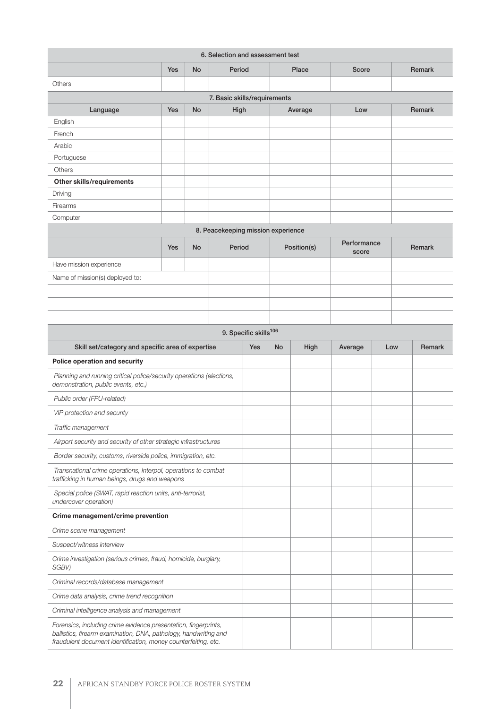| 6. Selection and assessment test                                                                                                                                                                      |     |    |        |                                   |             |              |                      |        |        |  |
|-------------------------------------------------------------------------------------------------------------------------------------------------------------------------------------------------------|-----|----|--------|-----------------------------------|-------------|--------------|----------------------|--------|--------|--|
|                                                                                                                                                                                                       | Yes | No |        | Period<br>Place                   |             | <b>Score</b> |                      | Remark |        |  |
| Others                                                                                                                                                                                                |     |    |        |                                   |             |              |                      |        |        |  |
| 7. Basic skills/requirements                                                                                                                                                                          |     |    |        |                                   |             |              |                      |        |        |  |
| Language                                                                                                                                                                                              | Yes | No | High   |                                   |             | Average      | Low                  |        | Remark |  |
| English                                                                                                                                                                                               |     |    |        |                                   |             |              |                      |        |        |  |
| French                                                                                                                                                                                                |     |    |        |                                   |             |              |                      |        |        |  |
| Arabic                                                                                                                                                                                                |     |    |        |                                   |             |              |                      |        |        |  |
| Portuguese                                                                                                                                                                                            |     |    |        |                                   |             |              |                      |        |        |  |
| Others                                                                                                                                                                                                |     |    |        |                                   |             |              |                      |        |        |  |
| Other skills/requirements                                                                                                                                                                             |     |    |        |                                   |             |              |                      |        |        |  |
| Driving                                                                                                                                                                                               |     |    |        |                                   |             |              |                      |        |        |  |
| Firearms                                                                                                                                                                                              |     |    |        |                                   |             |              |                      |        |        |  |
| Computer                                                                                                                                                                                              |     |    |        |                                   |             |              |                      |        |        |  |
| 8. Peacekeeping mission experience                                                                                                                                                                    |     |    |        |                                   |             |              |                      |        |        |  |
|                                                                                                                                                                                                       | Yes | No | Period |                                   | Position(s) |              | Performance<br>score |        | Remark |  |
| Have mission experience                                                                                                                                                                               |     |    |        |                                   |             |              |                      |        |        |  |
| Name of mission(s) deployed to:                                                                                                                                                                       |     |    |        |                                   |             |              |                      |        |        |  |
|                                                                                                                                                                                                       |     |    |        |                                   |             |              |                      |        |        |  |
|                                                                                                                                                                                                       |     |    |        |                                   |             |              |                      |        |        |  |
|                                                                                                                                                                                                       |     |    |        |                                   |             |              |                      |        |        |  |
|                                                                                                                                                                                                       |     |    |        | 9. Specific skills <sup>106</sup> |             |              |                      |        |        |  |
|                                                                                                                                                                                                       |     |    |        | <b>Yes</b>                        | <b>No</b>   |              |                      | Low    | Remark |  |
| Skill set/category and specific area of expertise                                                                                                                                                     |     |    |        |                                   |             | High         | Average              |        |        |  |
| Police operation and security                                                                                                                                                                         |     |    |        |                                   |             |              |                      |        |        |  |
| Planning and running critical police/security operations (elections,<br>demonstration, public events, etc.)                                                                                           |     |    |        |                                   |             |              |                      |        |        |  |
| Public order (FPU-related)                                                                                                                                                                            |     |    |        |                                   |             |              |                      |        |        |  |
| VIP protection and security                                                                                                                                                                           |     |    |        |                                   |             |              |                      |        |        |  |
| Traffic management                                                                                                                                                                                    |     |    |        |                                   |             |              |                      |        |        |  |
| Airport security and security of other strategic infrastructures                                                                                                                                      |     |    |        |                                   |             |              |                      |        |        |  |
| Border security, customs, riverside police, immigration, etc.                                                                                                                                         |     |    |        |                                   |             |              |                      |        |        |  |
| Transnational crime operations, Interpol, operations to combat<br>trafficking in human beings, drugs and weapons                                                                                      |     |    |        |                                   |             |              |                      |        |        |  |
| Special police (SWAT, rapid reaction units, anti-terrorist,<br>undercover operation)                                                                                                                  |     |    |        |                                   |             |              |                      |        |        |  |
| Crime management/crime prevention                                                                                                                                                                     |     |    |        |                                   |             |              |                      |        |        |  |
| Crime scene management                                                                                                                                                                                |     |    |        |                                   |             |              |                      |        |        |  |
| Suspect/witness interview                                                                                                                                                                             |     |    |        |                                   |             |              |                      |        |        |  |
| Crime investigation (serious crimes, fraud, homicide, burglary,<br>SGBV)                                                                                                                              |     |    |        |                                   |             |              |                      |        |        |  |
| Criminal records/database management                                                                                                                                                                  |     |    |        |                                   |             |              |                      |        |        |  |
| Crime data analysis, crime trend recognition                                                                                                                                                          |     |    |        |                                   |             |              |                      |        |        |  |
| Criminal intelligence analysis and management                                                                                                                                                         |     |    |        |                                   |             |              |                      |        |        |  |
| Forensics, including crime evidence presentation, fingerprints,<br>ballistics, firearm examination, DNA, pathology, handwriting and<br>fraudulent document identification, money counterfeiting, etc. |     |    |        |                                   |             |              |                      |        |        |  |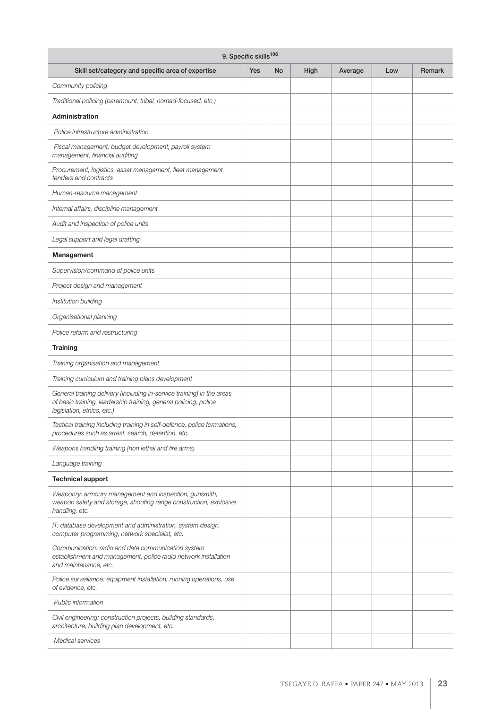| 9. Specific skills <sup>106</sup>                                                                                                                                        |            |    |      |         |     |               |  |  |  |  |  |
|--------------------------------------------------------------------------------------------------------------------------------------------------------------------------|------------|----|------|---------|-----|---------------|--|--|--|--|--|
| Skill set/category and specific area of expertise                                                                                                                        | <b>Yes</b> | No | High | Average | Low | <b>Remark</b> |  |  |  |  |  |
| Community policing                                                                                                                                                       |            |    |      |         |     |               |  |  |  |  |  |
| Traditional policing (paramount, tribal, nomad-focused, etc.)                                                                                                            |            |    |      |         |     |               |  |  |  |  |  |
| Administration                                                                                                                                                           |            |    |      |         |     |               |  |  |  |  |  |
| Police infrastructure administration                                                                                                                                     |            |    |      |         |     |               |  |  |  |  |  |
| Fiscal management, budget development, payroll system<br>management, financial auditing                                                                                  |            |    |      |         |     |               |  |  |  |  |  |
| Procurement, logistics, asset management, fleet management,<br>tenders and contracts                                                                                     |            |    |      |         |     |               |  |  |  |  |  |
| Human-resource management                                                                                                                                                |            |    |      |         |     |               |  |  |  |  |  |
| Internal affairs, discipline management                                                                                                                                  |            |    |      |         |     |               |  |  |  |  |  |
| Audit and inspection of police units                                                                                                                                     |            |    |      |         |     |               |  |  |  |  |  |
| Legal support and legal drafting                                                                                                                                         |            |    |      |         |     |               |  |  |  |  |  |
| Management                                                                                                                                                               |            |    |      |         |     |               |  |  |  |  |  |
| Supervision/command of police units                                                                                                                                      |            |    |      |         |     |               |  |  |  |  |  |
| Project design and management                                                                                                                                            |            |    |      |         |     |               |  |  |  |  |  |
| Institution building                                                                                                                                                     |            |    |      |         |     |               |  |  |  |  |  |
| Organisational planning                                                                                                                                                  |            |    |      |         |     |               |  |  |  |  |  |
| Police reform and restructuring                                                                                                                                          |            |    |      |         |     |               |  |  |  |  |  |
| <b>Training</b>                                                                                                                                                          |            |    |      |         |     |               |  |  |  |  |  |
| Training organisation and management                                                                                                                                     |            |    |      |         |     |               |  |  |  |  |  |
| Training curriculum and training plans development                                                                                                                       |            |    |      |         |     |               |  |  |  |  |  |
| General training delivery (including in-service training) in the areas<br>of basic training, leadership training, general policing, police<br>legislation, ethics, etc.) |            |    |      |         |     |               |  |  |  |  |  |
| Tactical training including training in self-defence, police formations,<br>procedures such as arrest, search, detention, etc.                                           |            |    |      |         |     |               |  |  |  |  |  |
| Weapons handling training (non lethal and fire arms)                                                                                                                     |            |    |      |         |     |               |  |  |  |  |  |
| Language training                                                                                                                                                        |            |    |      |         |     |               |  |  |  |  |  |
| <b>Technical support</b>                                                                                                                                                 |            |    |      |         |     |               |  |  |  |  |  |
| Weaponry: armoury management and inspection, gunsmith,<br>weapon safety and storage, shooting range construction, explosive<br>handling, etc.                            |            |    |      |         |     |               |  |  |  |  |  |
| IT: database development and administration, system design,<br>computer programming, network specialist, etc.                                                            |            |    |      |         |     |               |  |  |  |  |  |
| Communication: radio and data communication system<br>establishment and management, police radio network installation<br>and maintenance, etc.                           |            |    |      |         |     |               |  |  |  |  |  |
| Police surveillance: equipment installation, running operations, use<br>of evidence, etc.                                                                                |            |    |      |         |     |               |  |  |  |  |  |
| Public information                                                                                                                                                       |            |    |      |         |     |               |  |  |  |  |  |
| Civil engineering: construction projects, building standards,<br>architecture, building plan development, etc.                                                           |            |    |      |         |     |               |  |  |  |  |  |
| Medical services                                                                                                                                                         |            |    |      |         |     |               |  |  |  |  |  |